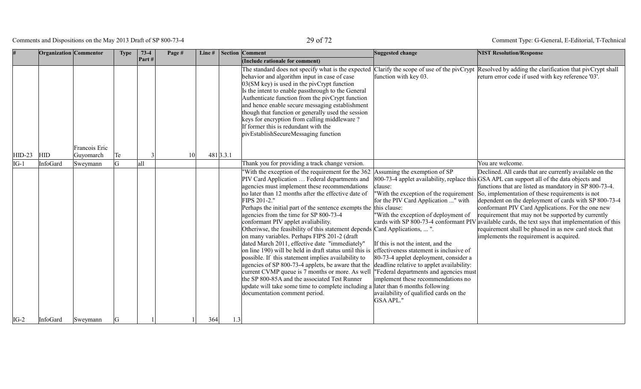Comments and Dispositions on the May 2013 Draft of SP 800-73-4 29 of 72

|          | Organization Commentor |                            | <b>Type</b> | $73-4$         | Page # | Line# |           | <b>Section Comment</b>                                                                                                                                                                                                                                                                                                                                                                                                                                                                                                                                                                                                                                                                                                                                                                                                                                                                                                                                                                                                                                                                                                               | Suggested change                                                                                                                                                                                                                                                                                                                                     | <b>NIST Resolution/Response</b>                                                                                                                                                                                                                                                                                                                                                                                                                                                                                                                                                                          |
|----------|------------------------|----------------------------|-------------|----------------|--------|-------|-----------|--------------------------------------------------------------------------------------------------------------------------------------------------------------------------------------------------------------------------------------------------------------------------------------------------------------------------------------------------------------------------------------------------------------------------------------------------------------------------------------------------------------------------------------------------------------------------------------------------------------------------------------------------------------------------------------------------------------------------------------------------------------------------------------------------------------------------------------------------------------------------------------------------------------------------------------------------------------------------------------------------------------------------------------------------------------------------------------------------------------------------------------|------------------------------------------------------------------------------------------------------------------------------------------------------------------------------------------------------------------------------------------------------------------------------------------------------------------------------------------------------|----------------------------------------------------------------------------------------------------------------------------------------------------------------------------------------------------------------------------------------------------------------------------------------------------------------------------------------------------------------------------------------------------------------------------------------------------------------------------------------------------------------------------------------------------------------------------------------------------------|
|          |                        |                            |             | $\vert$ Part # |        |       |           | (Include rationale for comment)                                                                                                                                                                                                                                                                                                                                                                                                                                                                                                                                                                                                                                                                                                                                                                                                                                                                                                                                                                                                                                                                                                      |                                                                                                                                                                                                                                                                                                                                                      |                                                                                                                                                                                                                                                                                                                                                                                                                                                                                                                                                                                                          |
| $HID-23$ | <b>HID</b>             | Francois Eric<br>Guyomarch | Te          |                | 10     |       | 481 3.3.1 | The standard does not specify what is the expected Clarify the scope of use of the pivCrypt<br>behavior and algorithm input in case of case<br>$03(SM$ key) is used in the pivCrypt function<br>Is the intent to enable passthrough to the General<br>Authenticate function from the pivCrypt function<br>and hence enable secure messaging establishment<br>though that function or generally used the session<br>keys for encryption from calling middleware?<br>If former this is redundant with the<br>pivEstablishSecureMessaging function                                                                                                                                                                                                                                                                                                                                                                                                                                                                                                                                                                                      | function with key 03.                                                                                                                                                                                                                                                                                                                                | Resolved by adding the clarification that pivCrypt shall<br>return error code if used with key reference '03'.                                                                                                                                                                                                                                                                                                                                                                                                                                                                                           |
| $IG-1$   | InfoGard               | Sweymann                   |             | all            |        |       |           | Thank you for providing a track change version.                                                                                                                                                                                                                                                                                                                                                                                                                                                                                                                                                                                                                                                                                                                                                                                                                                                                                                                                                                                                                                                                                      |                                                                                                                                                                                                                                                                                                                                                      | You are welcome.                                                                                                                                                                                                                                                                                                                                                                                                                                                                                                                                                                                         |
|          |                        |                            |             |                |        |       |           | "With the exception of the requirement for the $362$ Assuming the exemption of SP<br>PIV Card Application  Federal departments and<br>agencies must implement these recommendations<br>no later than 12 months after the effective date of<br>FIPS 201-2."<br>Perhaps the initial part of the sentence exempts the this clause:<br>agencies from the time for SP 800-73-4<br>conformant PIV applet avaliability.<br>Otheriwse, the feasibility of this statement depends Card Applications,  ".<br>on many variables. Perhaps FIPS 201-2 (draft<br>dated March 2011, effective date "immediately"<br>on line 190) will be held in draft status until this is effectiveness statement is inclusive of<br>possible. If this statement implies availability to<br>agencies of SP 800-73-4 applets, be aware that the $\vert$ deadline relative to applet availability:<br>current CVMP queue is 7 months or more. As well  "Federal departments and agencies must<br>the SP 800-85A and the associated Test Runner<br>update will take some time to complete including a later than 6 months following<br>documentation comment period. | clause:<br>"With the exception of the requirement<br>for the PIV Card Application " with<br>With the exception of deployment of<br>cards with SP 800-73-4 conformant PIV<br>If this is not the intent, and the<br>80-73-4 applet deployment, consider a<br>implement these recommendations no<br>availability of qualified cards on the<br>GSA APL." | Declined. All cards that are currently available on the<br>800-73-4 applet availability, replace this GSA APL can support all of the data objects and<br>functions that are listed as mandatory in SP 800-73-4.<br>So, implementation of these requirements is not<br>dependent on the deployment of cards with SP 800-73-4<br>conformant PIV Card Applications. For the one new<br>requirement that may not be supported by currently<br>available cards, the text says that implementation of this<br>requirement shall be phased in as new card stock that<br>implements the requirement is acquired. |
| $IG-2$   | InfoGard               | Sweymann                   |             |                |        | 364   | 1.3       |                                                                                                                                                                                                                                                                                                                                                                                                                                                                                                                                                                                                                                                                                                                                                                                                                                                                                                                                                                                                                                                                                                                                      |                                                                                                                                                                                                                                                                                                                                                      |                                                                                                                                                                                                                                                                                                                                                                                                                                                                                                                                                                                                          |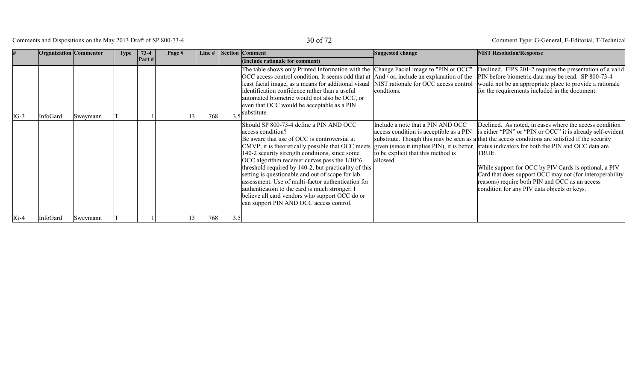Comments and Dispositions on the May 2013 Draft of SP 800-73-4 30 of 72

|        | <b>Organization</b> Commentor |                 | <b>Type</b> | $73-4$<br>Part# | Page # | Line $#$ |     | <b>Section Comment</b><br>(Include rationale for comment)                                                                                                                                                                                                                                                                                                                                                                                                                                                                                                                               | Suggested change                                                                                                                                                             | <b>NIST Resolution/Response</b>                                                                                                                                                                                                                                                                                                                                                                                                                                                                                   |
|--------|-------------------------------|-----------------|-------------|-----------------|--------|----------|-----|-----------------------------------------------------------------------------------------------------------------------------------------------------------------------------------------------------------------------------------------------------------------------------------------------------------------------------------------------------------------------------------------------------------------------------------------------------------------------------------------------------------------------------------------------------------------------------------------|------------------------------------------------------------------------------------------------------------------------------------------------------------------------------|-------------------------------------------------------------------------------------------------------------------------------------------------------------------------------------------------------------------------------------------------------------------------------------------------------------------------------------------------------------------------------------------------------------------------------------------------------------------------------------------------------------------|
| $IG-3$ | InfoGard                      | Sweymann        |             |                 |        | 768      | 3.5 | The table shows only Printed Information with the Change Facial image to "PIN or OCC".<br>least facial image, as a means for additional visual NIST rationale for OCC access control<br>identification confidence rather than a useful<br>automated biometric would not also be OCC, or<br>even that OCC would be acceptable as a PIN<br>substitute.                                                                                                                                                                                                                                    | condtions.                                                                                                                                                                   | Declined. FIPS 201-2 requires the presentation of a valid<br>OCC access control condition. It seems odd that at  And / or, include an explanation of the  PIN before biometric data may be read. SP 800-73-4<br>would not be an appropriate place to provide a rationale<br>for the requirements included in the document.                                                                                                                                                                                        |
|        |                               |                 |             |                 |        |          |     | Should SP 800-73-4 define a PIN AND OCC<br>access condition?<br>Be aware that use of OCC is controversial at<br>CMVP; it is theoretically possible that OCC meets<br>140-2 security strength conditions, since some<br>OCC algorithm receiver curves pass the $1/106$<br>threshold required by 140-2, but practicality of this<br>setting is questionable and out of scope for lab<br>assessment. Use of multi-factor authentication for<br>authenticatoin to the card is much stronger; I<br>believe all card vendors who support OCC do or<br>can support PIN AND OCC access control. | Include a note that a PIN AND OCC<br>access condition is acceptible as a PIN<br>given (since it implies PIN), it is better<br>to be explicit that this method is<br>allowed. | Declined. As noted, in cases where the access condition<br>is either "PIN" or "PIN or OCC" it is already self-evident<br>substitute. Though this may be seen as a that the access conditions are satisfied if the security<br>status indicators for both the PIN and OCC data are<br>TRUE.<br>While support for OCC by PIV Cards is optional, a PIV<br>Card that does support OCC may not (for interoperability)<br>reasons) require both PIN and OCC as an access<br>condition for any PIV data objects or keys. |
| $IG-4$ | InfoGard                      | <b>Sweymann</b> |             |                 |        | 768      | 3.5 |                                                                                                                                                                                                                                                                                                                                                                                                                                                                                                                                                                                         |                                                                                                                                                                              |                                                                                                                                                                                                                                                                                                                                                                                                                                                                                                                   |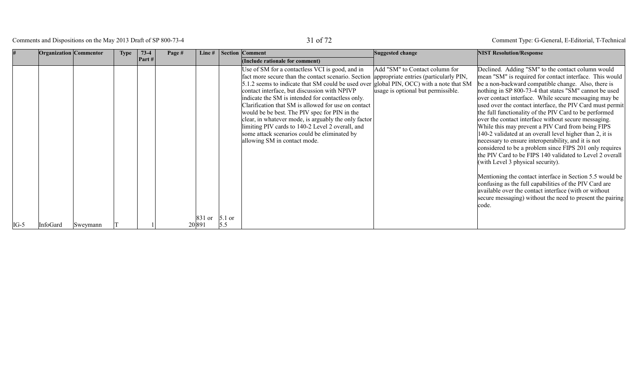Comments and Dispositions on the May 2013 Draft of SP 800-73-4 31 of 72

|        | <b>Organization</b> Commentor |          | <b>Type</b> | $73-4$<br>Part# | Page # | Line#                    | Section Comment<br>(Include rationale for comment)                                                                                                                                                                                                                                                                                                                                                                                                                                                                                                                                                                                                | Suggested change                                                     | <b>NIST Resolution/Response</b>                                                                                                                                                                                                                                                                                                                                                                                                                                                                                                                                                                                                                                                                                                                                                                                                                                                                                                                                                                                                                                |
|--------|-------------------------------|----------|-------------|-----------------|--------|--------------------------|---------------------------------------------------------------------------------------------------------------------------------------------------------------------------------------------------------------------------------------------------------------------------------------------------------------------------------------------------------------------------------------------------------------------------------------------------------------------------------------------------------------------------------------------------------------------------------------------------------------------------------------------------|----------------------------------------------------------------------|----------------------------------------------------------------------------------------------------------------------------------------------------------------------------------------------------------------------------------------------------------------------------------------------------------------------------------------------------------------------------------------------------------------------------------------------------------------------------------------------------------------------------------------------------------------------------------------------------------------------------------------------------------------------------------------------------------------------------------------------------------------------------------------------------------------------------------------------------------------------------------------------------------------------------------------------------------------------------------------------------------------------------------------------------------------|
| $IG-5$ | InfoGard                      | Sweymann |             |                 |        | 831 or 5.1 or<br>20 89 1 | Use of SM for a contactless VCI is good, and in<br>fact more secure than the contact scenario. Section appropriate entries (particularly PIN,<br>5.1.2 seems to indicate that SM could be used over global PIN, OCC) with a note that SM<br>contact interface, but discussion with NPIVP<br>indicate the SM is intended for contactless only.<br>Clarification that SM is allowed for use on contact<br>would be be best. The PIV spec for PIN in the<br>clear, in whatever mode, is arguably the only factor<br>limiting PIV cards to 140-2 Level 2 overall, and<br>some attack scenarios could be eliminated by<br>allowing SM in contact mode. | Add "SM" to Contact column for<br>usage is optional but permissible. | Declined. Adding "SM" to the contact column would<br>mean "SM" is required for contact interface. This would<br>be a non-backward compatible change. Also, there is<br>nothing in SP 800-73-4 that states "SM" cannot be used<br>over contact interface. While secure messaging may be<br>used over the contact interface, the PIV Card must permit<br>the full functionality of the PIV Card to be performed<br>over the contact interface without secure messaging.<br>While this may prevent a PIV Card from being FIPS<br>140-2 validated at an overall level higher than 2, it is<br>necessary to ensure interoperability, and it is not<br>considered to be a problem since FIPS 201 only requires<br>the PIV Card to be FIPS 140 validated to Level 2 overall<br>(with Level 3 physical security).<br>Mentioning the contact interface in Section 5.5 would be<br>confusing as the full capabilities of the PIV Card are<br>available over the contact interface (with or without<br>secure messaging) without the need to present the pairing<br>code. |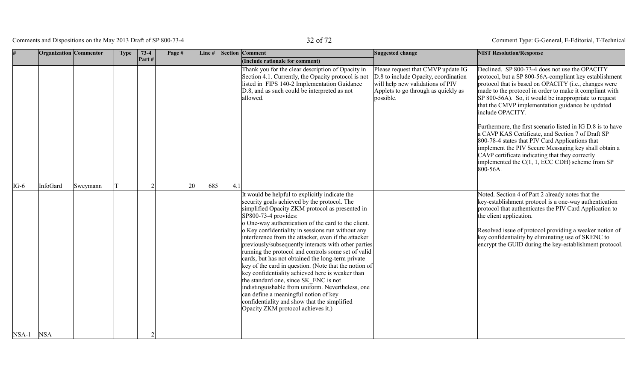Comments and Dispositions on the May 2013 Draft of SP 800-73-4 32 of 72

|         | Organization Commentor |          | <b>Type</b> | $73-4$ | Page # | Line# |     | Section Comment                                                                                                                                                                                                                                                                                                                                                                                                                                                                                                                                                                                                                                                                | Suggested change                                                                                                                                                   | <b>NIST Resolution/Response</b>                                                                                                                                                                                                                                                                                                                                                                                                                                                                                                                                                                                                                                                                                                                                                                                                                                                                                        |
|---------|------------------------|----------|-------------|--------|--------|-------|-----|--------------------------------------------------------------------------------------------------------------------------------------------------------------------------------------------------------------------------------------------------------------------------------------------------------------------------------------------------------------------------------------------------------------------------------------------------------------------------------------------------------------------------------------------------------------------------------------------------------------------------------------------------------------------------------|--------------------------------------------------------------------------------------------------------------------------------------------------------------------|------------------------------------------------------------------------------------------------------------------------------------------------------------------------------------------------------------------------------------------------------------------------------------------------------------------------------------------------------------------------------------------------------------------------------------------------------------------------------------------------------------------------------------------------------------------------------------------------------------------------------------------------------------------------------------------------------------------------------------------------------------------------------------------------------------------------------------------------------------------------------------------------------------------------|
|         |                        |          |             | Part#  |        |       |     | (Include rationale for comment)                                                                                                                                                                                                                                                                                                                                                                                                                                                                                                                                                                                                                                                |                                                                                                                                                                    |                                                                                                                                                                                                                                                                                                                                                                                                                                                                                                                                                                                                                                                                                                                                                                                                                                                                                                                        |
| $IG-6$  | InfoGard               | Sweymann |             |        | 20     | 685   | 4.1 | Thank you for the clear description of Opacity in<br>Section 4.1. Currently, the Opacity protocol is not<br>listed in FIPS 140-2 Implementation Guidance<br>D.8, and as such could be interpreted as not<br>allowed.<br>It would be helpful to explicitly indicate the<br>security goals achieved by the protocol. The<br>simplified Opacity ZKM protocol as presented in<br>$SP800-73-4$ provides:                                                                                                                                                                                                                                                                            | Please request that CMVP update IG<br>D.8 to include Opacity, coordination<br>will help new validations of PIV<br>Applets to go through as quickly as<br>possible. | Declined. SP 800-73-4 does not use the OPACITY<br>protocol, but a SP 800-56A-compliant key establishment<br>protocol that is based on OPACITY (i.e., changes were<br>made to the protocol in order to make it compliant with<br>SP 800-56A). So, it would be inappropriate to request<br>that the CMVP implementation guidance be updated<br>include OPACITY.<br>Furthermore, the first scenario listed in IG D.8 is to have<br>a CAVP KAS Certificate, and Section 7 of Draft SP<br>800-78-4 states that PIV Card Applications that<br>implement the PIV Secure Messaging key shall obtain a<br>CAVP certificate indicating that they correctly<br>implemented the $C(1, 1, ECC$ CDH) scheme from SP<br>800-56A.<br>Noted. Section 4 of Part 2 already notes that the<br>key-establishment protocol is a one-way authentication<br>protocol that authenticates the PIV Card Application to<br>the client application. |
| $NSA-1$ | <b>NSA</b>             |          |             |        |        |       |     | o One-way authentication of the card to the client.<br>o Key confidentiality in sessions run without any<br>interference from the attacker, even if the attacker<br>previously/subsequently interacts with other parties<br>running the protocol and controls some set of valid<br>cards, but has not obtained the long-term private<br>key of the card in question. (Note that the notion of<br>key confidentiality achieved here is weaker than<br>the standard one, since SK ENC is not<br>indistinguishable from uniform. Nevertheless, one<br>can define a meaningful notion of key<br>confidentiality and show that the simplified<br>Opacity ZKM protocol achieves it.) |                                                                                                                                                                    | Resolved issue of protocol providing a weaker notion of<br>key confidentiality by eliminating use of SKENC to<br>encrypt the GUID during the key-establishment protocol.                                                                                                                                                                                                                                                                                                                                                                                                                                                                                                                                                                                                                                                                                                                                               |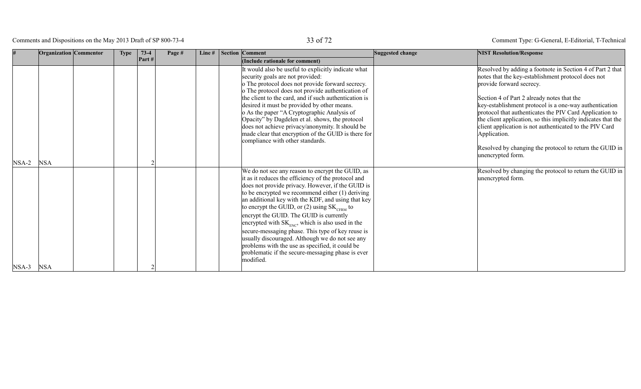Comments and Dispositions on the May 2013 Draft of SP 800-73-4 33 of 72

|         | Organization Commentor | <b>Type</b> | $73-4$ | Page # | Line $#$ | Section Comment                                                                                                                                                                                                                                                                                                                                                                                                                                                                                                                                                                                                                                               | Suggested change | <b>NIST Resolution/Response</b>                                                                                                                                                                                                                                                                                                                                                                                                                                                                                                            |
|---------|------------------------|-------------|--------|--------|----------|---------------------------------------------------------------------------------------------------------------------------------------------------------------------------------------------------------------------------------------------------------------------------------------------------------------------------------------------------------------------------------------------------------------------------------------------------------------------------------------------------------------------------------------------------------------------------------------------------------------------------------------------------------------|------------------|--------------------------------------------------------------------------------------------------------------------------------------------------------------------------------------------------------------------------------------------------------------------------------------------------------------------------------------------------------------------------------------------------------------------------------------------------------------------------------------------------------------------------------------------|
|         |                        |             | Part#  |        |          | (Include rationale for comment)                                                                                                                                                                                                                                                                                                                                                                                                                                                                                                                                                                                                                               |                  |                                                                                                                                                                                                                                                                                                                                                                                                                                                                                                                                            |
| $NSA-2$ | <b>NSA</b>             |             |        |        |          | It would also be useful to explicitly indicate what<br>security goals are not provided:<br>o The protocol does not provide forward secrecy.<br>o The protocol does not provide authentication of<br>the client to the card, and if such authentication is<br>desired it must be provided by other means.<br>o As the paper "A Cryptographic Analysis of<br>Opacity" by Dagdelen et al. shows, the protocol<br>does not achieve privacy/anonymity. It should be<br>made clear that encryption of the GUID is there for<br>compliance with other standards.                                                                                                     |                  | Resolved by adding a footnote in Section 4 of Part 2 that<br>notes that the key-establishment protocol does not<br>provide forward secrecy.<br>Section 4 of Part 2 already notes that the<br>key-establishment protocol is a one-way authentication<br>protocol that authenticates the PIV Card Application to<br>the client application, so this implicitly indicates that the<br>client application is not authenticated to the PIV Card<br>Application.<br>Resolved by changing the protocol to return the GUID in<br>unencrypted form. |
|         |                        |             |        |        |          | We do not see any reason to encrypt the GUID, as<br>it as it reduces the efficiency of the protocol and<br>does not provide privacy. However, if the GUID is<br>to be encrypted we recommend either $(1)$ deriving<br>an additional key with the KDF, and using that key<br>to encrypt the GUID, or (2) using $SK_{CFRM}$ to<br>encrypt the GUID. The GUID is currently<br>encrypted with $SK_{FNC}$ , which is also used in the<br>secure-messaging phase. This type of key reuse is<br>usually discouraged. Although we do not see any<br>problems with the use as specified, it could be<br>problematic if the secure-messaging phase is ever<br>modified. |                  | Resolved by changing the protocol to return the GUID in<br>unencrypted form.                                                                                                                                                                                                                                                                                                                                                                                                                                                               |
| $NSA-3$ | <b>NSA</b>             |             |        |        |          |                                                                                                                                                                                                                                                                                                                                                                                                                                                                                                                                                                                                                                                               |                  |                                                                                                                                                                                                                                                                                                                                                                                                                                                                                                                                            |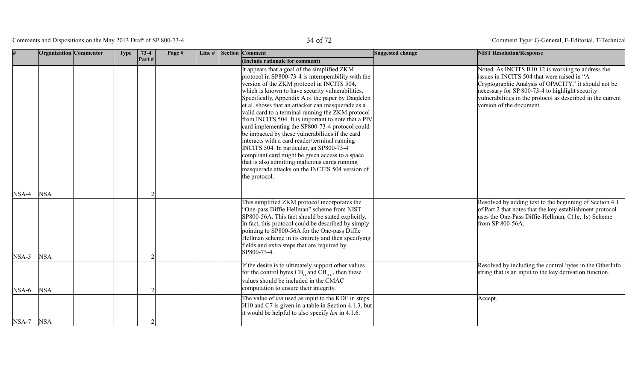Comments and Dispositions on the May 2013 Draft of SP 800-73-4 34 of 72

|           | Organization Commentor | <b>Type</b> | $73-4$ | Page # | Line# | <b>Section Comment</b> |                                                                                                                                                                                                                                                                                                                                                                                                                                                                                                                                                                                                                                                                                                                                                                                                                                             | Suggested change | <b>NIST Resolution/Response</b>                                                                                                                                                                                                                                                                        |
|-----------|------------------------|-------------|--------|--------|-------|------------------------|---------------------------------------------------------------------------------------------------------------------------------------------------------------------------------------------------------------------------------------------------------------------------------------------------------------------------------------------------------------------------------------------------------------------------------------------------------------------------------------------------------------------------------------------------------------------------------------------------------------------------------------------------------------------------------------------------------------------------------------------------------------------------------------------------------------------------------------------|------------------|--------------------------------------------------------------------------------------------------------------------------------------------------------------------------------------------------------------------------------------------------------------------------------------------------------|
| $NSA-4$   | <b>NSA</b>             |             | Part#  |        |       |                        | (Include rationale for comment)<br>It appears that a goal of the simplified ZKM<br>protocol in SP800-73-4 is interoperability with the<br>version of the ZKM protocol in INCITS 504,<br>which is known to have security vulnerabilities.<br>Specifically, Appendix A of the paper by Dagdelen<br>et al. shows that an attacker can masquerade as a<br>valid card to a terminal running the ZKM protocol<br>from INCITS 504. It is important to note that a PIV<br>card implementing the SP800-73-4 protocol could<br>be impacted by these vulnerabilities if the card<br>interacts with a card reader/terminal running<br>INCITS 504. In particular, an SP800-73-4<br>compliant card might be given access to a space<br>that is also admitting malicious cards running<br>masquerade attacks on the INCITS 504 version of<br>the protocol. |                  | Noted. As INCITS B10.12 is working to address the<br>issues in INCITS 504 that were raised in "A<br>Cryptographic Analysis of OPACITY," it should not be<br>necessary for SP 800-73-4 to highlight security<br>vulnerabilities in the protocol as described in the current<br>version of the document. |
| $NSA-5$   | <b>NSA</b>             |             |        |        |       |                        | This simplified ZKM protocol incorporates the<br>"One-pass Diffie Hellman" scheme from NIST<br>SP800-56A. This fact should be stated explicitly.<br>In fact, this protocol could be described by simply<br>pointing to SP800-56A for the One-pass Diffie<br>Hellman scheme in its entirety and then specifying<br>fields and extra steps that are required by<br>SP800-73-4.                                                                                                                                                                                                                                                                                                                                                                                                                                                                |                  | Resolved by adding text to the beginning of Section 4.1<br>of Part 2 that notes that the key-establishment protocol<br>uses the One-Pass Diffie-Hellman, C(1e, 1s) Scheme<br>from SP 800-56A.                                                                                                          |
| $NSA-6$   | <b>NSA</b>             |             |        |        |       |                        | If the desire is to ultimately support other values<br>for the control bytes $CBH$ and $CBICC$ , then these<br>values should be included in the CMAC<br>computation to ensure their integrity.                                                                                                                                                                                                                                                                                                                                                                                                                                                                                                                                                                                                                                              |                  | Resolved by including the control bytes in the OtherInfo<br>string that is an input to the key derivation function.                                                                                                                                                                                    |
| NSA-7 NSA |                        |             |        |        |       |                        | The value of <i>len</i> used as input to the KDF in steps<br>H10 and C7 is given in a table in Section 4.1.3, but<br>it would be helpful to also specify <i>len</i> in 4.1.6.                                                                                                                                                                                                                                                                                                                                                                                                                                                                                                                                                                                                                                                               |                  | Accept.                                                                                                                                                                                                                                                                                                |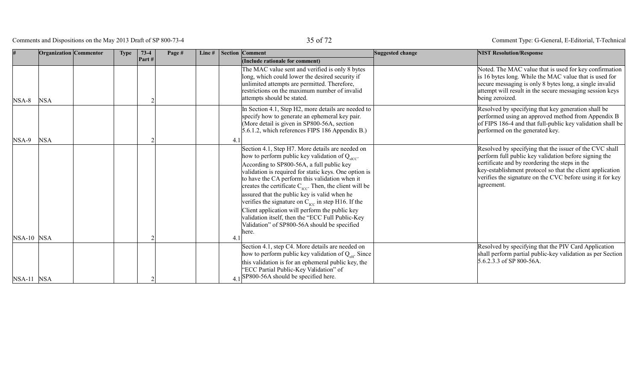Comments and Dispositions on the May 2013 Draft of SP 800-73-4 35 of 72

|              | Organization Commentor | <b>Type</b> | $73-4$ | Page # | Line# | <b>Section Comment</b>                                                                                                                                                                                                                                                                                                                                                                                                                                                                                                                                                 | Suggested change | <b>NIST Resolution/Response</b>                                                                                                                                                                                                                                                                            |
|--------------|------------------------|-------------|--------|--------|-------|------------------------------------------------------------------------------------------------------------------------------------------------------------------------------------------------------------------------------------------------------------------------------------------------------------------------------------------------------------------------------------------------------------------------------------------------------------------------------------------------------------------------------------------------------------------------|------------------|------------------------------------------------------------------------------------------------------------------------------------------------------------------------------------------------------------------------------------------------------------------------------------------------------------|
|              |                        |             | Part#  |        |       | (Include rationale for comment)                                                                                                                                                                                                                                                                                                                                                                                                                                                                                                                                        |                  |                                                                                                                                                                                                                                                                                                            |
| $NSA-8$      | <b>NSA</b>             |             |        |        |       | The MAC value sent and verified is only 8 bytes<br>long, which could lower the desired security if<br>unlimited attempts are permitted. Therefore,<br>restrictions on the maximum number of invalid<br>attempts should be stated.                                                                                                                                                                                                                                                                                                                                      |                  | Noted. The MAC value that is used for key confirmation<br>is 16 bytes long. While the MAC value that is used for<br>secure messaging is only 8 bytes long, a single invalid<br>attempt will result in the secure messaging session keys<br>being zeroized.                                                 |
|              |                        |             |        |        |       | In Section 4.1, Step H2, more details are needed to<br>specify how to generate an ephemeral key pair.<br>(More detail is given in SP800-56A, section<br>5.6.1.2, which references FIPS 186 Appendix B.)                                                                                                                                                                                                                                                                                                                                                                |                  | Resolved by specifying that key generation shall be<br>performed using an approved method from Appendix B<br>of FIPS 186-4 and that full-public key validation shall be<br>performed on the generated key.                                                                                                 |
| $NSA-9$      | <b>NSA</b>             |             |        |        |       |                                                                                                                                                                                                                                                                                                                                                                                                                                                                                                                                                                        |                  |                                                                                                                                                                                                                                                                                                            |
|              |                        |             |        |        |       | Section 4.1, Step H7. More details are needed on<br>how to perform public key validation of $Q_{\text{effC}}$ .<br>According to SP800-56A, a full public key<br>validation is required for static keys. One option is<br>to have the CA perform this validation when it<br>creates the certificate $C_{\text{rec}}$ . Then, the client will be<br>assured that the public key is valid when he<br>verifies the signature on $C_{\text{rec}}$ in step H16. If the<br>Client application will perform the public key<br>validation itself, then the "ECC Full Public-Key |                  | Resolved by specifying that the issuer of the CVC shall<br>perform full public key validation before signing the<br>certificate and by reordering the steps in the<br>key-establishment protocol so that the client application<br>verifies the signature on the CVC before using it for key<br>agreement. |
|              |                        |             |        |        |       | Validation" of SP800-56A should be specified                                                                                                                                                                                                                                                                                                                                                                                                                                                                                                                           |                  |                                                                                                                                                                                                                                                                                                            |
| $NSA-10$ NSA |                        |             |        |        |       | here.<br>4.1                                                                                                                                                                                                                                                                                                                                                                                                                                                                                                                                                           |                  |                                                                                                                                                                                                                                                                                                            |
| $NSA-11$ NSA |                        |             |        |        |       | Section 4.1, step C4. More details are needed on<br>how to perform public key validation of Q <sub>eH</sub> . Since<br>this validation is for an ephemeral public key, the<br>"ECC Partial Public-Key Validation" of<br>$41$ SP800-56A should be specified here.                                                                                                                                                                                                                                                                                                       |                  | Resolved by specifying that the PIV Card Application<br>shall perform partial public-key validation as per Section<br>$5.6.2.3.3$ of SP 800-56A.                                                                                                                                                           |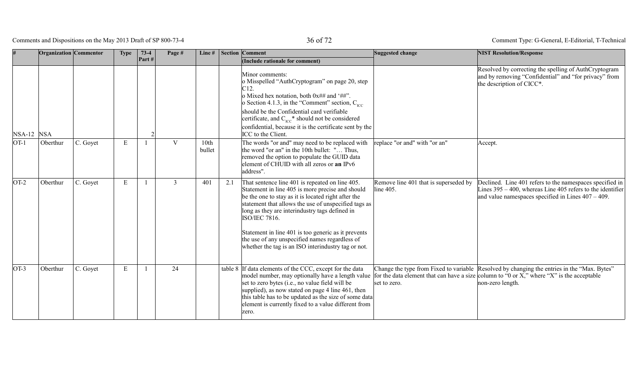Comments and Dispositions on the May 2013 Draft of SP 800-73-4 36 of 72

|            | Organization Commentor |          | <b>Type</b> | $73-4$       | Page #       | Line#          |     | <b>Section Comment</b>                                                                                                                                                                                                                                                                                                                                                         | Suggested change                                   | <b>NIST Resolution/Response</b>                                                                                                                                                                              |
|------------|------------------------|----------|-------------|--------------|--------------|----------------|-----|--------------------------------------------------------------------------------------------------------------------------------------------------------------------------------------------------------------------------------------------------------------------------------------------------------------------------------------------------------------------------------|----------------------------------------------------|--------------------------------------------------------------------------------------------------------------------------------------------------------------------------------------------------------------|
|            |                        |          |             | Part#        |              |                |     | (Include rationale for comment)                                                                                                                                                                                                                                                                                                                                                |                                                    |                                                                                                                                                                                                              |
| NSA-12 NSA |                        |          |             |              |              |                |     | Minor comments:<br>o Misspelled "AuthCryptogram" on page 20, step<br>o Mixed hex notation, both $0x##$ and '##".<br>o Section 4.1.3, in the "Comment" section, $C_{\text{rec}}$<br>should be the Confidential card verifiable<br>certificate, and $C_{\text{ICC}}^*$ should not be considered<br>confidential, because it is the certificate sent by the<br>ICC to the Client. |                                                    | Resolved by correcting the spelling of AuthCryptogram<br>and by removing "Confidential" and "for privacy" from<br>the description of CICC*.                                                                  |
| $OT-1$     | Oberthur               | C. Goyet | E           | $\mathbf{1}$ | $\mathbf{V}$ | 10th<br>bullet |     | The words "or and" may need to be replaced with<br>the word "or an" in the 10th bullet: " Thus,<br>removed the option to populate the GUID data<br>element of CHUID with all zeros or an IPv6<br>address".                                                                                                                                                                     | replace "or and" with "or an"                      | Accept.                                                                                                                                                                                                      |
| $OT-2$     | Oberthur               | C. Goyet | E           |              | 3            | 401            | 2.1 | That sentence line 401 is repeated on line 405.<br>Statement in line 405 is more precise and should<br>be the one to stay as it is located right after the<br>statement that allows the use of unspecified tags as<br>long as they are interindustry tags defined in<br>ISO/IEC 7816.                                                                                          | Remove line 401 that is superseded by<br>line 405. | Declined. Line 401 refers to the namespaces specified in<br>Lines $395 - 400$ , whereas Line 405 refers to the identifier<br>and value namespaces specified in Lines $407 - 409$ .                           |
|            |                        |          |             |              |              |                |     | Statement in line 401 is too generic as it prevents<br>the use of any unspecified names regardless of<br>whether the tag is an ISO interindustry tag or not.                                                                                                                                                                                                                   |                                                    |                                                                                                                                                                                                              |
| $OT-3$     | Oberthur               | C. Goyet | Е           | $\mathbf{1}$ | 24           |                |     | table 8 If data elements of the CCC, except for the data<br>model number, may optionally have a length value<br>set to zero bytes (i.e., no value field will be<br>supplied), as now stated on page 4 line 461, then<br>this table has to be updated as the size of some data<br>element is currently fixed to a value different from<br>zero.                                 | set to zero.                                       | Change the type from Fixed to variable Resolved by changing the entries in the "Max. Bytes"<br>for the data element that can have a size column to "0 or X," where "X" is the acceptable<br>non-zero length. |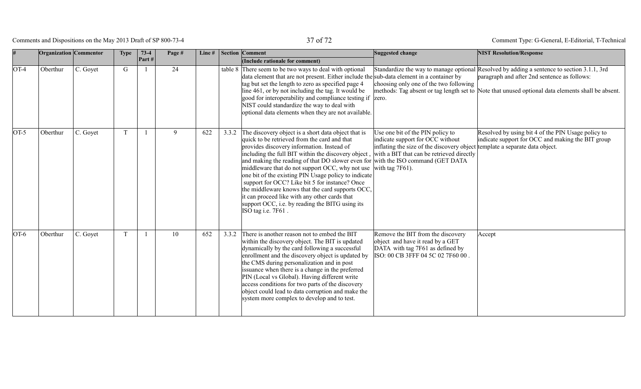Comments and Dispositions on the May 2013 Draft of SP 800-73-4 37 of 72

|                   | Organization Commentor |          | <b>Type</b> | $73-4$<br>Part# | Page # | Line# |       | <b>Section Comment</b><br>(Include rationale for comment)                                                                                                                                                                                                                                                                                                                                                                                                                                                                                                                                                                               | Suggested change                                                                                                                                                                                                       | <b>NIST Resolution/Response</b>                                                                                                                                                                                                                 |
|-------------------|------------------------|----------|-------------|-----------------|--------|-------|-------|-----------------------------------------------------------------------------------------------------------------------------------------------------------------------------------------------------------------------------------------------------------------------------------------------------------------------------------------------------------------------------------------------------------------------------------------------------------------------------------------------------------------------------------------------------------------------------------------------------------------------------------------|------------------------------------------------------------------------------------------------------------------------------------------------------------------------------------------------------------------------|-------------------------------------------------------------------------------------------------------------------------------------------------------------------------------------------------------------------------------------------------|
| $\overline{O}T-4$ | Oberthur               | C. Goyet | G           |                 | 24     |       |       | table 8 There seem to be two ways to deal with optional<br>data element that are not present. Either include the sub-data element in a container by<br>tag but set the length to zero as specified page 4<br>line 461, or by not including the tag. It would be<br>good for interoperability and compliance testing if zero.<br>NIST could standardize the way to deal with<br>optional data elements when they are not available.                                                                                                                                                                                                      | choosing only one of the two following                                                                                                                                                                                 | Standardize the way to manage optional Resolved by adding a sentence to section 3.1.1, 3rd<br>paragraph and after 2nd sentence as follows:<br>methods: Tag absent or tag length set to Note that unused optional data elements shall be absent. |
| $OT-5$            | Oberthur               | C. Goyet | T           |                 | 9      | 622   | 3.3.2 | The discovery object is a short data object that is<br>quick to be retrieved from the card and that<br>provides discovery information. Instead of<br>including the full BIT within the discovery object,<br>and making the reading of that DO slower even for with the ISO command (GET DATA<br>middleware that do not support OCC, why not use<br>one bit of the existing PIN Usage policy to indicate<br>support for OCC? Like bit 5 for instance? Once<br>the middleware knows that the card supports OCC,<br>it can proceed like with any other cards that<br>support OCC, i.e. by reading the BITG using its<br>ISO tag i.e. 7F61. | Use one bit of the PIN policy to<br>indicate support for OCC without<br>inflating the size of the discovery object template a separate data object.<br>with a BIT that can be retrieved directly<br>with tag $7F61$ ). | Resolved by using bit 4 of the PIN Usage policy to<br>indicate support for OCC and making the BIT group                                                                                                                                         |
| $OT-6$            | Oberthur               | C. Goyet | T           |                 | 10     | 652   | 3.3.2 | There is another reason not to embed the BIT<br>within the discovery object. The BIT is updated<br>dynamically by the card following a successful<br>enrollment and the discovery object is updated by<br>the CMS during personalization and in post<br>issuance when there is a change in the preferred<br>PIN (Local vs Global). Having different write<br>access conditions for two parts of the discovery<br>object could lead to data corruption and make the<br>system more complex to develop and to test.                                                                                                                       | Remove the BIT from the discovery<br>object and have it read by a GET<br>DATA with tag 7F61 as defined by<br>ISO: 00 CB 3FFF 04 5C 02 7F60 00.                                                                         | Accept                                                                                                                                                                                                                                          |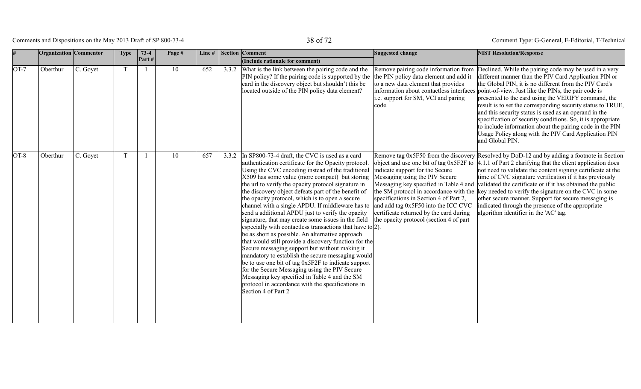# Comments and Dispositions on the May 2013 Draft of SP 800-73-4 38 of 72

| #      | Organization Commentor |          | <b>Type</b> | $73-4$                  | Page # | Line $#$ |       | <b>Section Comment</b>                                                                                                                                                                                                                                                                                                                                                                                                                                                                                                                                                                                                                                                                                                                                                                                                                                                                                                                                                                                                                                                   | Suggested change                                                                                                                                                                                                                         | <b>NIST Resolution/Response</b>                                                                                                                                                                                                                                                                                                                                                                                                                                                                                                                                                                                                                                                                     |
|--------|------------------------|----------|-------------|-------------------------|--------|----------|-------|--------------------------------------------------------------------------------------------------------------------------------------------------------------------------------------------------------------------------------------------------------------------------------------------------------------------------------------------------------------------------------------------------------------------------------------------------------------------------------------------------------------------------------------------------------------------------------------------------------------------------------------------------------------------------------------------------------------------------------------------------------------------------------------------------------------------------------------------------------------------------------------------------------------------------------------------------------------------------------------------------------------------------------------------------------------------------|------------------------------------------------------------------------------------------------------------------------------------------------------------------------------------------------------------------------------------------|-----------------------------------------------------------------------------------------------------------------------------------------------------------------------------------------------------------------------------------------------------------------------------------------------------------------------------------------------------------------------------------------------------------------------------------------------------------------------------------------------------------------------------------------------------------------------------------------------------------------------------------------------------------------------------------------------------|
|        |                        |          |             | $\left  \right.$ Part # |        |          |       | (Include rationale for comment)                                                                                                                                                                                                                                                                                                                                                                                                                                                                                                                                                                                                                                                                                                                                                                                                                                                                                                                                                                                                                                          |                                                                                                                                                                                                                                          |                                                                                                                                                                                                                                                                                                                                                                                                                                                                                                                                                                                                                                                                                                     |
| $OT-7$ | Oberthur               | C. Goyet |             |                         | 10     | 652      | 3.3.2 | What is the link between the pairing code and the<br>PIN policy? If the pairing code is supported by the<br>card in the discovery object but shouldn't this be<br>located outside of the PIN policy data element?                                                                                                                                                                                                                                                                                                                                                                                                                                                                                                                                                                                                                                                                                                                                                                                                                                                        | the PIN policy data element and add it<br>to a new data element that provides<br>i.e. support for SM, VCI and paring<br>code.                                                                                                            | Remove pairing code information from Declined. While the pairing code may be used in a very<br>different manner than the PIV Card Application PIN or<br>the Global PIN, it is no different from the PIV Card's<br>information about contactless interfaces point-of-view. Just like the PINs, the pair code is<br>presented to the card using the VERIFY command, the<br>result is to set the corresponding security status to TRUE,<br>and this security status is used as an operand in the<br>specification of security conditions. So, it is appropriate<br>to include information about the pairing code in the PIN<br>Usage Policy along with the PIV Card Application PIN<br>and Global PIN. |
| $OT-8$ | Oberthur               | C. Goyet |             |                         | 10     | 657      | 3.3.2 | In SP800-73-4 draft, the CVC is used as a card<br>authentication certificate for the Opacity protocol.<br>Using the CVC encoding instead of the traditional<br>X509 has some value (more compact) but storing<br>the url to verify the opacity protocol signature in<br>the discovery object defeats part of the benefit of<br>the opacity protocol, which is to open a secure<br>channel with a single APDU. If middleware has to<br>send a additional APDU just to verify the opacity<br>signature, that may create some issues in the field<br>especially with contactless transactions that have to $ 2$ ).<br>be as short as possible. An alternative approach<br>that would still provide a discovery function for the<br>Secure messaging support but without making it<br>mandatory to establish the secure messaging would<br>be to use one bit of tag 0x5F2F to indicate support<br>for the Secure Messaging using the PIV Secure<br>Messaging key specified in Table 4 and the SM<br>protocol in accordance with the specifications in<br>Section 4 of Part 2 | indicate support for the Secure<br>Messaging using the PIV Secure<br>specifications in Section 4 of Part 2,<br>and add tag 0x5F50 into the ICC CVC<br>certificate returned by the card during<br>the opacity protocol (section 4 of part | Remove tag 0x5F50 from the discovery Resolved by DoD-12 and by adding a footnote in Section<br>object and use one bit of tag $0x5F2F$ to $ 4.1.1$ of Part 2 clarifying that the client application does<br>not need to validate the content signing certificate at the<br>time of CVC signature verification if it has previously<br>Messaging key specified in Table 4 and validated the certificate or if it has obtained the public<br>the SM protocol in accordance with the key needed to verify the signature on the CVC in some<br>other secure manner. Support for secure messaging is<br>indicated through the presence of the appropriate<br>algorithm identifier in the 'AC' tag.        |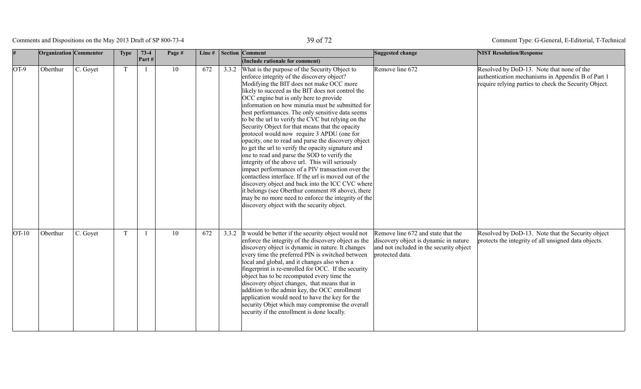# Comments and Dispositions on the May 2013 Draft of SP 800-73-4 39 of 72

|         | <b>Organization</b> Commentor |          | Type | $73-4$         | Page # | Line# | <b>Section Comment</b>                                                                                                                                                                                                                                                                                                                                                                                                                                                                                                                                                                                                                                                                                                                                                                                                                                                                                                                                                                                                                                 | Suggested change                                                                                                                          | <b>NIST Resolution/Response</b>                                                                                                                         |
|---------|-------------------------------|----------|------|----------------|--------|-------|--------------------------------------------------------------------------------------------------------------------------------------------------------------------------------------------------------------------------------------------------------------------------------------------------------------------------------------------------------------------------------------------------------------------------------------------------------------------------------------------------------------------------------------------------------------------------------------------------------------------------------------------------------------------------------------------------------------------------------------------------------------------------------------------------------------------------------------------------------------------------------------------------------------------------------------------------------------------------------------------------------------------------------------------------------|-------------------------------------------------------------------------------------------------------------------------------------------|---------------------------------------------------------------------------------------------------------------------------------------------------------|
|         |                               |          |      | Part#          |        |       | (Include rationale for comment)                                                                                                                                                                                                                                                                                                                                                                                                                                                                                                                                                                                                                                                                                                                                                                                                                                                                                                                                                                                                                        |                                                                                                                                           |                                                                                                                                                         |
| $OT-9$  | Oberthur                      | C. Goyet | T    | $\overline{1}$ | 10     | 672   | 3.3.2 What is the purpose of the Security Object to<br>enforce integrity of the discovery object?<br>Modifying the BIT does not make OCC more<br>likely to succeed as the BIT does not control the<br>OCC engine but is only here to provide<br>information on how minutia must be submitted for<br>best performances. The only sensitive data seems<br>to be the url to verify the CVC but relying on the<br>Security Object for that means that the opacity<br>protocol would now require 3 APDU (one for<br>opacity, one to read and parse the discovery object<br>to get the url to verify the opacity signature and<br>one to read and parse the SOD to verify the<br>integrity of the above url. This will seriously<br>impact performances of a PIV transaction over the<br>contactless interface. If the url is moved out of the<br>discovery object and back into the ICC CVC where<br>it belongs (see Oberthur comment #8 above), there<br>may be no more need to enforce the integrity of the<br>discovery object with the security object. | Remove line 672                                                                                                                           | Resolved by DoD-13. Note that none of the<br>authentication mechanisms in Appendix B of Part 1<br>require relying parties to check the Security Object. |
| $OT-10$ | Oberthur                      | C. Goyet | T.   | $\overline{1}$ | 10     | 672   | 3.3.2 It would be better if the security object would not<br>enforce the integrity of the discovery object as the<br>discovery object is dynamic in nature. It changes<br>every time the preferred PIN is switched between<br>local and global, and it changes also when a<br>fingerprint is re-enrolled for OCC. If the security<br>object has to be recomputed every time the<br>discovery object changes, that means that in<br>addition to the admin key, the OCC enrollment<br>application would need to have the key for the<br>security Objet which may compromise the overall<br>security if the enrollment is done locally.                                                                                                                                                                                                                                                                                                                                                                                                                   | Remove line 672 and state that the<br>discovery object is dynamic in nature<br>and not included in the security object<br>protected data. | Resolved by DoD-13. Note that the Security object<br>protects the integrity of all unsigned data objects.                                               |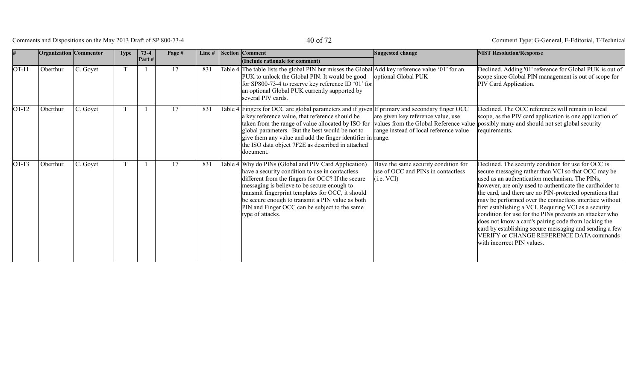## Comments and Dispositions on the May 2013 Draft of SP 800-73-4 40 of 72

|         | <b>Organization Commentor</b> |          | <b>Type</b> | $73-4$ | Page # | Line $#$ | <b>Section Comment</b>                                                                                                                                                                                                                                                                                                                                                                       | Suggested change                                                                         | <b>NIST Resolution/Response</b>                                                                                                                                                                                                                                                                                                                                                                                                                                                                                                                                                                                                                                  |
|---------|-------------------------------|----------|-------------|--------|--------|----------|----------------------------------------------------------------------------------------------------------------------------------------------------------------------------------------------------------------------------------------------------------------------------------------------------------------------------------------------------------------------------------------------|------------------------------------------------------------------------------------------|------------------------------------------------------------------------------------------------------------------------------------------------------------------------------------------------------------------------------------------------------------------------------------------------------------------------------------------------------------------------------------------------------------------------------------------------------------------------------------------------------------------------------------------------------------------------------------------------------------------------------------------------------------------|
|         |                               |          |             | Part#  |        |          | (Include rationale for comment)                                                                                                                                                                                                                                                                                                                                                              |                                                                                          |                                                                                                                                                                                                                                                                                                                                                                                                                                                                                                                                                                                                                                                                  |
| $OT-11$ | Oberthur                      | C. Goyet |             |        | 17     | 831      | Table 4 The table lists the global PIN but misses the Global Add key reference value '01' for an<br>PUK to unlock the Global PIN. It would be good<br>for SP800-73-4 to reserve key reference ID '01' for<br>an optional Global PUK currently supported by<br>several PIV cards.                                                                                                             | optional Global PUK                                                                      | Declined. Adding '01' reference for Global PUK is out of<br>scope since Global PIN management is out of scope for<br>PIV Card Application.                                                                                                                                                                                                                                                                                                                                                                                                                                                                                                                       |
| $OT-12$ | Oberthur                      | C. Goyet |             |        | 17     | 831      | Table 4 Fingers for OCC are global parameters and if given If primary and secondary finger OCC<br>a key reference value, that reference should be<br>taken from the range of value allocated by ISO for<br>global parameters. But the best would be not to<br>give them any value and add the finger identifier in range.<br>the ISO data object 7F2E as described in attached<br> document. | are given key reference value, use<br>range instead of local reference value             | Declined. The OCC references will remain in local<br>scope, as the PIV card application is one application of<br>values from the Global Reference value possibly many and should not set global security<br>requirements.                                                                                                                                                                                                                                                                                                                                                                                                                                        |
| $OT-13$ | Oberthur                      | C. Goyet |             |        | 17     | 831      | Table 4 Why do PINs (Global and PIV Card Application)<br>have a security condition to use in contactless<br>different from the fingers for OCC? If the secure<br>messaging is believe to be secure enough to<br>transmit fingerprint templates for OCC, it should<br>be secure enough to transmit a PIN value as both<br>PIN and Finger OCC can be subject to the same<br>type of attacks.   | Have the same security condition for<br>use of OCC and PINs in contactless<br>(i.e. VCI) | Declined. The security condition for use for OCC is<br>secure messaging rather than VCI so that OCC may be<br>used as an authentication mechanism. The PINs,<br>however, are only used to authenticate the cardholder to<br>the card, and there are no PIN-protected operations that<br>may be performed over the contactless interface without<br>first establishing a VCI. Requiring VCI as a security<br>condition for use for the PINs prevents an attacker who<br>does not know a card's pairing code from locking the<br>card by establishing secure messaging and sending a few<br>VERIFY or CHANGE REFERENCE DATA commands<br>with incorrect PIN values. |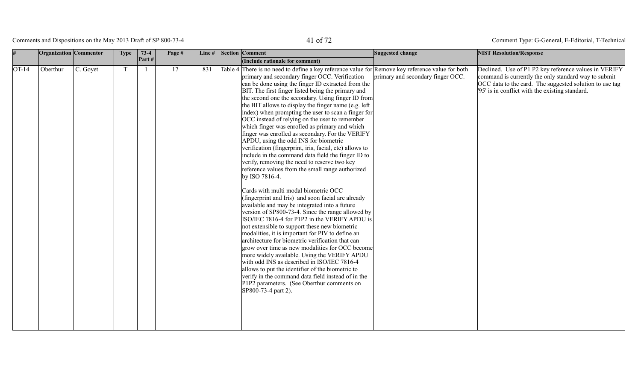Comments and Dispositions on the May 2013 Draft of SP 800-73-4 41 of 72

|         | <b>Organization</b> Commentor |          | <b>Type</b> | $73-4$ | Page # | Line# | <b>Section Comment</b>                                                                                                                                                                                                                                                                                                                                                                                                                                                                                                                                                                                                                                                                                                                                                                                                                                                                                                                                                                                                                                                                                                                                                                                                                                                                                                                                                                                                                                                                                                                                                                                                      | Suggested change                  | <b>NIST Resolution/Response</b>                                                                                                                                                                                             |
|---------|-------------------------------|----------|-------------|--------|--------|-------|-----------------------------------------------------------------------------------------------------------------------------------------------------------------------------------------------------------------------------------------------------------------------------------------------------------------------------------------------------------------------------------------------------------------------------------------------------------------------------------------------------------------------------------------------------------------------------------------------------------------------------------------------------------------------------------------------------------------------------------------------------------------------------------------------------------------------------------------------------------------------------------------------------------------------------------------------------------------------------------------------------------------------------------------------------------------------------------------------------------------------------------------------------------------------------------------------------------------------------------------------------------------------------------------------------------------------------------------------------------------------------------------------------------------------------------------------------------------------------------------------------------------------------------------------------------------------------------------------------------------------------|-----------------------------------|-----------------------------------------------------------------------------------------------------------------------------------------------------------------------------------------------------------------------------|
|         |                               |          |             | Part#  |        |       | (Include rationale for comment)                                                                                                                                                                                                                                                                                                                                                                                                                                                                                                                                                                                                                                                                                                                                                                                                                                                                                                                                                                                                                                                                                                                                                                                                                                                                                                                                                                                                                                                                                                                                                                                             |                                   |                                                                                                                                                                                                                             |
| $OT-14$ | Oberthur                      | C. Goyet | T           | - 1    | 17     | 831   | Table 4 There is no need to define a key reference value for Remove key reference value for both<br>primary and secondary finger OCC. Verification<br>can be done using the finger ID extracted from the<br>BIT. The first finger listed being the primary and<br>the second one the secondary. Using finger ID from<br>the BIT allows to display the finger name (e.g. left)<br>index) when prompting the user to scan a finger for<br>OCC instead of relying on the user to remember<br>which finger was enrolled as primary and which<br>finger was enrolled as secondary. For the VERIFY<br>APDU, using the odd INS for biometric<br>verification (fingerprint, iris, facial, etc) allows to<br>include in the command data field the finger ID to<br>verify, removing the need to reserve two key<br>reference values from the small range authorized<br>by ISO 7816-4.<br>Cards with multi modal biometric OCC<br>(fingerprint and Iris) and soon facial are already<br>available and may be integrated into a future<br>version of SP800-73-4. Since the range allowed by<br>ISO/IEC 7816-4 for P1P2 in the VERIFY APDU is<br>not extensible to support these new biometric<br>modalities, it is important for PIV to define an<br>architecture for biometric verification that can<br>grow over time as new modalities for OCC become<br>more widely available. Using the VERIFY APDU<br>with odd INS as described in ISO/IEC 7816-4<br>allows to put the identifier of the biometric to<br>verify in the command data field instead of in the<br>P1P2 parameters. (See Oberthur comments on<br>SP800-73-4 part 2). | primary and secondary finger OCC. | Declined. Use of P1 P2 key reference values in VERIFY<br>command is currently the only standard way to submit<br>OCC data to the card. The suggested solution to use tag<br>'95' is in conflict with the existing standard. |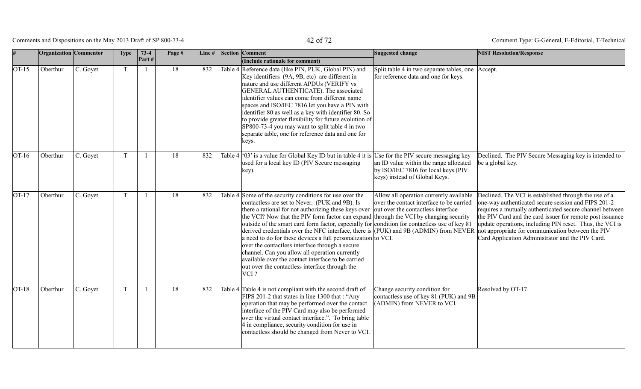Comments and Dispositions on the May 2013 Draft of SP 800-73-4 42 of 72

|         | Organization Commentor |          | <b>Type</b> | $73-4$ | Page # | Line# | <b>Section Comment</b>                                                                                                                                                                                                                                                                                                                                                                                                                                                                                                                                                                                                                                                                                                                                                           | Suggested change                                                                                               | <b>NIST Resolution/Response</b>                                                                                                                                                                                                                                                                                                                                                                            |
|---------|------------------------|----------|-------------|--------|--------|-------|----------------------------------------------------------------------------------------------------------------------------------------------------------------------------------------------------------------------------------------------------------------------------------------------------------------------------------------------------------------------------------------------------------------------------------------------------------------------------------------------------------------------------------------------------------------------------------------------------------------------------------------------------------------------------------------------------------------------------------------------------------------------------------|----------------------------------------------------------------------------------------------------------------|------------------------------------------------------------------------------------------------------------------------------------------------------------------------------------------------------------------------------------------------------------------------------------------------------------------------------------------------------------------------------------------------------------|
|         |                        |          |             | Part#  |        |       | (Include rationale for comment)                                                                                                                                                                                                                                                                                                                                                                                                                                                                                                                                                                                                                                                                                                                                                  |                                                                                                                |                                                                                                                                                                                                                                                                                                                                                                                                            |
| $OT-15$ | Oberthur               | C. Goyet |             |        | 18     | 832   | Table 4 Reference data (like PIN, PUK, Global PIN) and<br>Key identifiers (9A, 9B, etc) are different in<br>nature and use different APDUs (VERIFY vs<br>GENERAL AUTHENTICATE). The associated<br>identifier values can come from different name<br>spaces and ISO/IEC 7816 let you have a PIN with<br>identifier 80 as well as a key with identifier 80. So<br>to provide greater flexibility for future evolution of<br>SP800-73-4 you may want to split table 4 in two<br>separate table, one for reference data and one for<br>keys.                                                                                                                                                                                                                                         | Split table 4 in two separate tables, one Accept.<br>for reference data and one for keys.                      |                                                                                                                                                                                                                                                                                                                                                                                                            |
| $OT-16$ | Oberthur               | C. Goyet |             |        | 18     | 832   | Table 4 $\degree$ (03' is a value for Global Key ID but in table 4 it is Use for the PIV secure messaging key<br>used for a local key ID (PIV Secure messaging<br>key).                                                                                                                                                                                                                                                                                                                                                                                                                                                                                                                                                                                                          | an ID value within the range allocated<br>by ISO/IEC 7816 for local keys (PIV<br>keys) instead of Global Keys. | Declined. The PIV Secure Messaging key is intended to<br>be a global key.                                                                                                                                                                                                                                                                                                                                  |
| $OT-17$ | Oberthur               | C. Goyet |             |        | 18     | 832   | Table 4 Some of the security conditions for use over the<br>contactless are set to Never. (PUK and 9B). Is<br>there a rational for not authorizing these keys over out over the contactless interface<br>the VCI? Now that the PIV form factor can expand through the VCI by changing security<br>outside of the smart card form factor, especially for condition for contactless use of key 81<br>derived credentials over the NFC interface, there is (PUK) and 9B (ADMIN) from NEVER<br>a need to do for these devices a full personalization to VCI.<br>over the contactless interface through a secure<br>channel. Can you allow all operation currently<br>available over the contact interface to be carried<br>out over the contactless interface through the<br>$VCI$ ? | Allow all operation currently available<br>over the contact interface to be carried                            | Declined. The VCI is established through the use of a<br>one-way authenticated secure session and FIPS 201-2<br>requires a mutually authenticated secure channel between<br>the PIV Card and the card issuer for remote post issuance<br>update operations, including PIN reset. Thus, the VCI is<br>not appropriate for communication between the PIV<br>Card Application Administrator and the PIV Card. |
| $OT-18$ | Oberthur               | C. Goyet |             |        | 18     | 832   | Table 4   Table 4 is not compliant with the second draft of<br>FIPS 201-2 that states in line 1300 that : "Any<br>operation that may be performed over the contact<br>interface of the PIV Card may also be performed<br>over the virtual contact interface.". To bring table<br>4 in compliance, security condition for use in<br>contactless should be changed from Never to VCI.                                                                                                                                                                                                                                                                                                                                                                                              | Change security condition for<br>contactless use of key 81 (PUK) and 9B<br>(ADMIN) from NEVER to VCI.          | Resolved by OT-17.                                                                                                                                                                                                                                                                                                                                                                                         |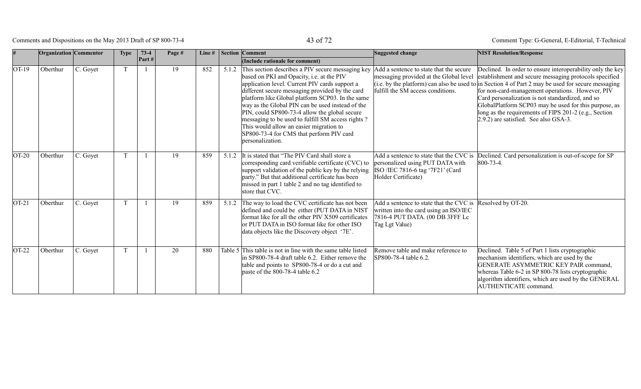Comments and Dispositions on the May 2013 Draft of SP 800-73-4 43 of 72

|         | Organization Commentor |          | <b>Type</b>  | $73-4$<br>Part# | Page # | Line# |       | <b>Section Comment</b><br>(Include rationale for comment)                                                                                                                                                                                                                                                                                                                                                                                                                                                                          | Suggested change                                                                                                                                          | <b>NIST Resolution/Response</b>                                                                                                                                                                                                                                                                                                                                                                                                                                                                  |
|---------|------------------------|----------|--------------|-----------------|--------|-------|-------|------------------------------------------------------------------------------------------------------------------------------------------------------------------------------------------------------------------------------------------------------------------------------------------------------------------------------------------------------------------------------------------------------------------------------------------------------------------------------------------------------------------------------------|-----------------------------------------------------------------------------------------------------------------------------------------------------------|--------------------------------------------------------------------------------------------------------------------------------------------------------------------------------------------------------------------------------------------------------------------------------------------------------------------------------------------------------------------------------------------------------------------------------------------------------------------------------------------------|
| $OT-19$ | Oberthur               | C. Goyet | T            | $\mathbf{1}$    | 19     | 852   |       | 5.1.2 This section describes a PIV secure messaging key<br>based on PKI and Opacity, i.e. at the PIV<br>application level. Current PIV cards support a<br>different secure messaging provided by the card<br>platform like Global platform SCP03. In the same<br>way as the Global PIN can be used instead of the<br>PIN, could SP800-73-4 allow the global secure<br>messaging to be used to fulfill SM access rights?<br>This would allow an easier migration to<br>SP800-73-4 for CMS that perform PIV card<br>personalization. | Add a sentence to state that the secure<br>messaging provided at the Global level<br>fulfill the SM access conditions.                                    | Declined. In order to ensure interoperability only the key<br>establishment and secure messaging protocols specified<br>(i.e. by the platform) can also be used to in Section 4 of Part 2 may be used for secure messaging<br>for non-card-management operations. However, PIV<br>Card personalization is not standardized, and so<br>GlobalPlatform SCP03 may be used for this purpose, as<br>long as the requirements of FIPS 201-2 (e.g., Section<br>$(2.9.2)$ are satisfied. See also GSA-3. |
| $OT-20$ | Oberthur               | C. Goyet |              | $\mathbf{1}$    | 19     | 859   | 5.1.2 | t is stated that "The PIV Card shall store a<br>corresponding card verifiable certificate (CVC) to<br>support validation of the public key by the relying<br>party." But that additional certificate has been<br>missed in part 1 table 2 and no tag identified to<br>store that CVC.                                                                                                                                                                                                                                              | personalized using PUT DATA with<br>ISO /IEC 7816-6 tag '7F21' (Card<br>Holder Certificate)                                                               | Add a sentence to state that the CVC is Declined. Card personalization is out-of-scope for SP<br>$ 800 - 73 - 4 $ .                                                                                                                                                                                                                                                                                                                                                                              |
| $OT-21$ | Oberthur               | C. Goyet | <sup>T</sup> | $\mathbf{1}$    | 19     | 859   |       | 5.1.2 The way to load the CVC certificate has not been<br>defined and could be either (PUT DATA in NIST<br>format like for all the other PIV X509 certificates<br>or PUT DATA in ISO format like for other ISO<br>data objects like the Discovery object '7E'.                                                                                                                                                                                                                                                                     | Add a sentence to state that the CVC is Resolved by OT-20.<br>written into the card using an ISO/IEC<br>7816-4 PUT DATA. (00 DB 3FFF Lc<br>Tag Lgt Value) |                                                                                                                                                                                                                                                                                                                                                                                                                                                                                                  |
| $OT-22$ | Oberthur               | C. Goyet | T            | $\mathbf{1}$    | 20     | 880   |       | Table 5 This table is not in line with the same table listed<br>in SP800-78-4 draft table 6.2. Either remove the<br>table and points to SP800-78-4 or do a cut and<br>paste of the 800-78-4 table $6.2$                                                                                                                                                                                                                                                                                                                            | Remove table and make reference to<br>SP800-78-4 table 6.2.                                                                                               | Declined. Table 5 of Part 1 lists cryptographic<br>mechanism identifiers, which are used by the<br>GENERATE ASYMMETRIC KEY PAIR command,<br>whereas Table 6-2 in SP 800-78 lists cryptographic<br>algorithm identifiers, which are used by the GENERAL<br><b>AUTHENTICATE</b> command.                                                                                                                                                                                                           |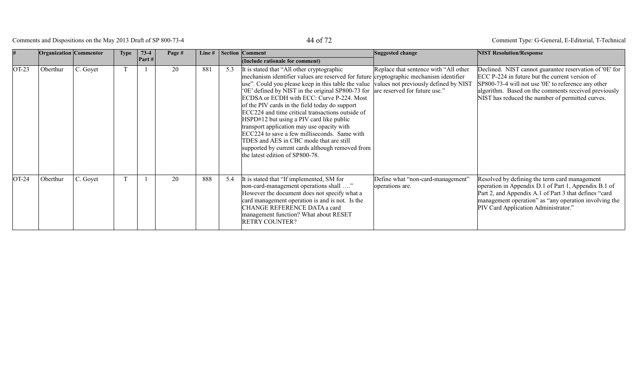## Comments and Dispositions on the May 2013 Draft of SP 800-73-4 44 of 72

|         | <b>Organization Commentor</b> |          | <b>Type</b> | $73-4$<br>Part $#$ | Page # | Line# |     | Section Comment<br>(Include rationale for comment)                                                                                                                                                                                                                                                                                                                                                                                                                                                                                                                                                                                                                                                                                                   | Suggested change                                     | <b>NIST Resolution/Response</b>                                                                                                                                                                                                                                              |
|---------|-------------------------------|----------|-------------|--------------------|--------|-------|-----|------------------------------------------------------------------------------------------------------------------------------------------------------------------------------------------------------------------------------------------------------------------------------------------------------------------------------------------------------------------------------------------------------------------------------------------------------------------------------------------------------------------------------------------------------------------------------------------------------------------------------------------------------------------------------------------------------------------------------------------------------|------------------------------------------------------|------------------------------------------------------------------------------------------------------------------------------------------------------------------------------------------------------------------------------------------------------------------------------|
| $OT-23$ | Oberthur                      | C. Goyet |             |                    | 20     | 881   | 5.3 | It is stated that "All other cryptographic"<br>mechanism identifier values are reserved for future cryptographic mechanism identifier<br>use". Could you please keep in this table the value values not previously defined by NIST<br>'0E' defined by NIST in the original SP800-73 for are reserved for future use."<br>ECDSA or ECDH with ECC: Curve P-224. Most<br>of the PIV cards in the field today do support<br>ECC224 and time critical transactions outside of<br>HSPD#12 but using a PIV card like public<br>transport application may use opacity with<br>ECC224 to save a few milliseconds. Same with<br>TDES and AES in CBC mode that are still<br>supported by current cards although removed from<br>the latest edition of SP800-78. | Replace that sentence with "All other                | Declined. NIST cannot guarantee reservation of '0E' for<br>ECC P-224 in future but the current version of<br>SP800-73-4 will not use '0E' to reference any other<br>algorithm. Based on the comments received previously<br>NIST has reduced the number of permitted curves. |
| $OT-24$ | Oberthur                      | C. Goyet |             |                    | 20     | 888   | 5.4 | It is stated that "If implemented, SM for<br>non-card-management operations shall "<br>However the document does not specify what a<br>card management operation is and is not. Is the<br>CHANGE REFERENCE DATA a card<br>management function? What about RESET<br><b>RETRY COUNTER?</b>                                                                                                                                                                                                                                                                                                                                                                                                                                                             | Define what "non-card-management"<br>operations are. | Resolved by defining the term card management<br>operation in Appendix D.1 of Part 1, Appendix B.1 of<br>Part 2, and Appendix A.1 of Part 3 that defines "card<br>management operation" as "any operation involving the<br>PIV Card Application Administrator."              |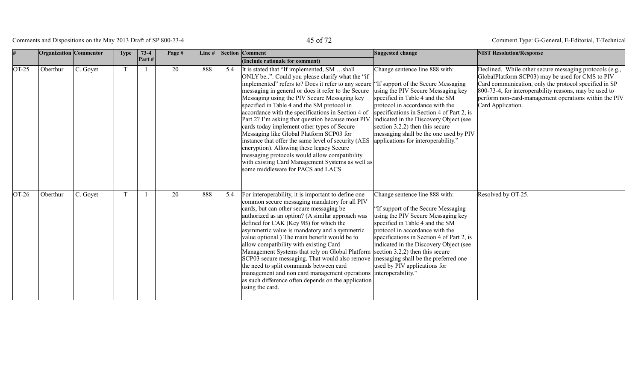Comments and Dispositions on the May 2013 Draft of SP 800-73-4 45 of 72

|         | <b>Organization</b> Commentor |          | <b>Type</b> | $73-4$<br>Part# | Page # | Line# |     | Section Comment<br>(Include rationale for comment)                                                                                                                                                                                                                                                                                                                                                                                                                                                                                                                                                                                                                                                                                                                | Suggested change                                                                                                                                                                                                                                                                                                                                                                                | <b>NIST Resolution/Response</b>                                                                                                                                                                                                                                                                              |
|---------|-------------------------------|----------|-------------|-----------------|--------|-------|-----|-------------------------------------------------------------------------------------------------------------------------------------------------------------------------------------------------------------------------------------------------------------------------------------------------------------------------------------------------------------------------------------------------------------------------------------------------------------------------------------------------------------------------------------------------------------------------------------------------------------------------------------------------------------------------------------------------------------------------------------------------------------------|-------------------------------------------------------------------------------------------------------------------------------------------------------------------------------------------------------------------------------------------------------------------------------------------------------------------------------------------------------------------------------------------------|--------------------------------------------------------------------------------------------------------------------------------------------------------------------------------------------------------------------------------------------------------------------------------------------------------------|
| $OT-25$ | Oberthur                      | C. Goyet | $\mathbf T$ |                 | 20     | 888   | 5.4 | It is stated that "If implemented, SM shall<br>ONLY be". Could you please clarify what the "if"<br>implemented" refers to? Does it refer to any secure<br>messaging in general or does it refer to the Secure<br>Messaging using the PIV Secure Messaging key<br>specified in Table 4 and the SM protocol in<br>accordance with the specifications in Section 4 of<br>Part 2? I'm asking that question because most PIV<br>cards today implement other types of Secure<br>Messaging like Global Platform SCP03 for<br>instance that offer the same level of security (AES<br>encryption). Allowing these legacy Secure<br>messaging protocols would allow compatibility<br>with existing Card Management Systems as well as<br>some middleware for PACS and LACS. | Change sentence line 888 with:<br>"If support of the Secure Messaging<br>using the PIV Secure Messaging key<br>specified in Table 4 and the SM<br>protocol in accordance with the<br>specifications in Section 4 of Part 2, is<br>indicated in the Discovery Object (see<br>section $3.2.2$ ) then this secure<br>messaging shall be the one used by PIV<br>applications for interoperability." | Declined. While other secure messaging protocols (e.g.,<br>GlobalPlatform SCP03) may be used for CMS to PIV<br>Card communication, only the protocol specified in SP<br>800-73-4, for interoperability reasons, may be used to<br>perform non-card-management operations within the PIV<br>Card Application. |
| OT-26   | Oberthur                      | C. Goyet | T           |                 | 20     | 888   | 5.4 | For interoperability, it is important to define one<br>common secure messaging mandatory for all PIV<br>cards, but can other secure messaging be<br>authorized as an option? (A similar approach was<br>defined for CAK (Key 9B) for which the<br>asymmetric value is mandatory and a symmetric<br>value optional.) The main benefit would be to<br>allow compatibility with existing Card<br>Management Systems that rely on Global Platform section 3.2.2) then this secure<br>SCP03 secure messaging. That would also remove<br>the need to split commands between card<br>management and non card management operations interoperability."<br>as such difference often depends on the application<br>using the card.                                          | Change sentence line 888 with:<br>'If support of the Secure Messaging<br>using the PIV Secure Messaging key<br>specified in Table 4 and the SM<br>protocol in accordance with the<br>specifications in Section 4 of Part 2, is<br>indicated in the Discovery Object (see<br>messaging shall be the preferred one<br>used by PIV applications for                                                | Resolved by OT-25.                                                                                                                                                                                                                                                                                           |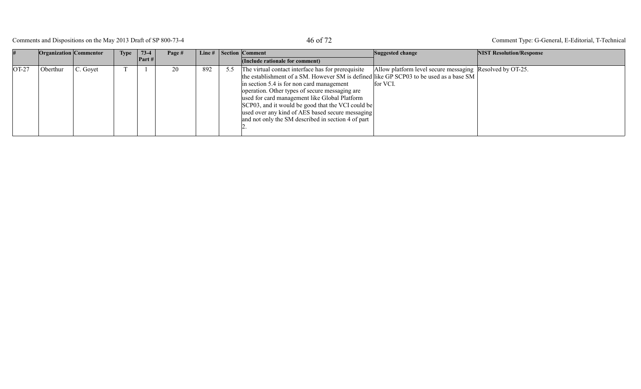# Comments and Dispositions on the May 2013 Draft of SP 800-73-4 46 Of 72

|       | <b>Organization</b> Commentor |          | <b>Type</b> | $73-4$ | Page # |     |     | Line $\#$ Section Comment                                                                                                                                                                                                                                                                                                                                                                                                                                   | Suggested change                                                     | <b>NIST Resolution/Response</b> |
|-------|-------------------------------|----------|-------------|--------|--------|-----|-----|-------------------------------------------------------------------------------------------------------------------------------------------------------------------------------------------------------------------------------------------------------------------------------------------------------------------------------------------------------------------------------------------------------------------------------------------------------------|----------------------------------------------------------------------|---------------------------------|
|       |                               |          |             | Part # |        |     |     | (Include rationale for comment)                                                                                                                                                                                                                                                                                                                                                                                                                             |                                                                      |                                 |
| OT-27 | Oberthur                      | C. Goyet |             |        | 20     | 892 | 5.5 | The virtual contact interface has for prerequisite<br>the establishment of a SM. However SM is defined like GP SCP03 to be used as a base SM<br>in section 5.4 is for non card management<br>operation. Other types of secure messaging are<br>used for card management like Global Platform<br>SCP03, and it would be good that the VCI could be<br>used over any kind of AES based secure messaging<br>and not only the SM described in section 4 of part | Allow platform level secure messaging Resolved by OT-25.<br>for VCI. |                                 |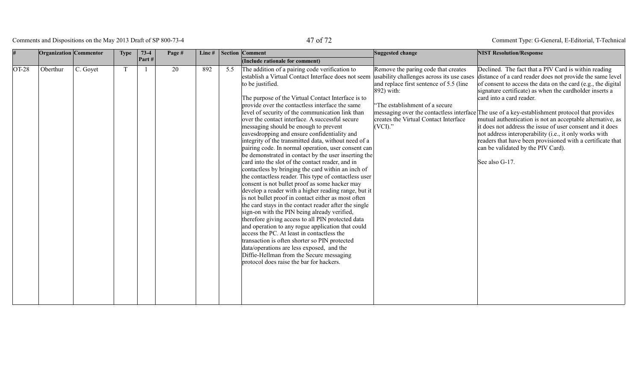# Comments and Dispositions on the May 2013 Draft of SP 800-73-4 47 of 72

|         | <b>Organization</b> Commentor |          | <b>Type</b> | $73-4$ | Page # | Line# |     | <b>Section Comment</b>                                                                                                                                                                                                                                                                                                                                                                                                                                                                                                                                                                                                                                                                                                                                                                                                                                                                                                                                                                                                                                                                                                                                                                                                                                                                                                                                                                               | Suggested change                                                                                                                                                                                                                   | <b>NIST Resolution/Response</b>                                                                                                                                                                                                                                                                                                                                                                                                                                                                                                                                                                                                                                                       |
|---------|-------------------------------|----------|-------------|--------|--------|-------|-----|------------------------------------------------------------------------------------------------------------------------------------------------------------------------------------------------------------------------------------------------------------------------------------------------------------------------------------------------------------------------------------------------------------------------------------------------------------------------------------------------------------------------------------------------------------------------------------------------------------------------------------------------------------------------------------------------------------------------------------------------------------------------------------------------------------------------------------------------------------------------------------------------------------------------------------------------------------------------------------------------------------------------------------------------------------------------------------------------------------------------------------------------------------------------------------------------------------------------------------------------------------------------------------------------------------------------------------------------------------------------------------------------------|------------------------------------------------------------------------------------------------------------------------------------------------------------------------------------------------------------------------------------|---------------------------------------------------------------------------------------------------------------------------------------------------------------------------------------------------------------------------------------------------------------------------------------------------------------------------------------------------------------------------------------------------------------------------------------------------------------------------------------------------------------------------------------------------------------------------------------------------------------------------------------------------------------------------------------|
|         |                               |          |             | Part#  |        |       |     | (Include rationale for comment)                                                                                                                                                                                                                                                                                                                                                                                                                                                                                                                                                                                                                                                                                                                                                                                                                                                                                                                                                                                                                                                                                                                                                                                                                                                                                                                                                                      |                                                                                                                                                                                                                                    |                                                                                                                                                                                                                                                                                                                                                                                                                                                                                                                                                                                                                                                                                       |
| $OT-28$ | Oberthur                      | C. Goyet | T           |        | 20     | 892   | 5.5 | The addition of a pairing code verification to<br>establish a Virtual Contact Interface does not seem<br>to be justified.<br>The purpose of the Virtual Contact Interface is to<br>provide over the contactless interface the same<br>level of security of the communication link than<br>over the contact interface. A successful secure<br>messaging should be enough to prevent<br>eavesdropping and ensure confidentiality and<br>integrity of the transmitted data, without need of a<br>pairing code. In normal operation, user consent can<br>be demonstrated in contact by the user inserting the<br>card into the slot of the contact reader, and in<br>contactless by bringing the card within an inch of<br>the contactless reader. This type of contactless user<br>consent is not bullet proof as some hacker may<br>develop a reader with a higher reading range, but it<br>is not bullet proof in contact either as most often<br>the card stays in the contact reader after the single<br>sign-on with the PIN being already verified,<br>therefore giving access to all PIN protected data<br>and operation to any rogue application that could<br>access the PC. At least in contactless the<br>transaction is often shorter so PIN protected<br>data/operations are less exposed, and the<br>Diffie-Hellman from the Secure messaging<br>protocol does raise the bar for hackers. | Remove the paring code that creates<br>usability challenges across its use cases<br>and replace first sentence of 5.5 (line)<br>892) with:<br>The establishment of a secure<br>creates the Virtual Contact Interface<br>$(VCI)$ ." | Declined. The fact that a PIV Card is within reading<br>distance of a card reader does not provide the same level<br>of consent to access the data on the card (e.g., the digital<br>signature certificate) as when the cardholder inserts a<br>card into a card reader.<br>messaging over the contactless interface The use of a key-establishment protocol that provides<br>mutual authentication is not an acceptable alternative, as<br>it does not address the issue of user consent and it does<br>not address interoperability (i.e., it only works with<br>readers that have been provisioned with a certificate that<br>can be validated by the PIV Card).<br>See also G-17. |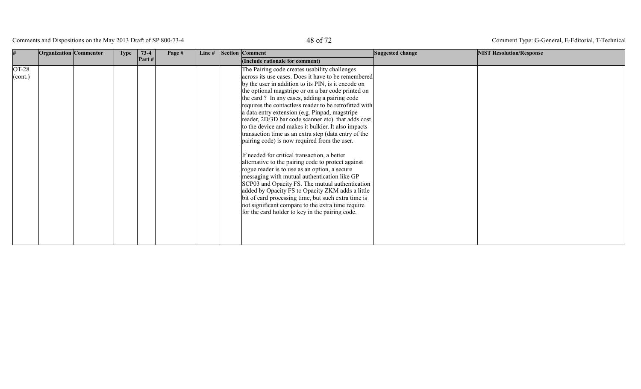Comments and Dispositions on the May 2013 Draft of SP 800-73-4 48 of 72

|                                                  | Organization Commentor | <b>Type</b> | $73-4$<br>Part# | Page # | Line# | Section Comment                                                                                                                                                                                                                                                                                                                                                                                                                                                                                                                                                                                                                                                                                                                                                                                                                                                                                                                                                                                                                                                                                                      | Suggested change | <b>NIST Resolution/Response</b> |
|--------------------------------------------------|------------------------|-------------|-----------------|--------|-------|----------------------------------------------------------------------------------------------------------------------------------------------------------------------------------------------------------------------------------------------------------------------------------------------------------------------------------------------------------------------------------------------------------------------------------------------------------------------------------------------------------------------------------------------------------------------------------------------------------------------------------------------------------------------------------------------------------------------------------------------------------------------------------------------------------------------------------------------------------------------------------------------------------------------------------------------------------------------------------------------------------------------------------------------------------------------------------------------------------------------|------------------|---------------------------------|
| $OT-28$<br>$\left  \right( \text{cont.} \right)$ |                        |             |                 |        |       | (Include rationale for comment)<br>The Pairing code creates usability challenges<br>across its use cases. Does it have to be remembered<br>by the user in addition to its PIN, is it encode on<br>the optional magstripe or on a bar code printed on<br>the card ? In any cases, adding a pairing code<br>requires the contactless reader to be retrofitted with<br>a data entry extension (e.g. Pinpad, magstripe<br>reader, 2D/3D bar code scanner etc) that adds cost<br>to the device and makes it bulkier. It also impacts<br>transaction time as an extra step (data entry of the<br>pairing code) is now required from the user.<br>If needed for critical transaction, a better<br>alternative to the pairing code to protect against<br>rogue reader is to use as an option, a secure<br>messaging with mutual authentication like GP<br>SCP03 and Opacity FS. The mutual authentication<br>added by Opacity FS to Opacity ZKM adds a little<br>bit of card processing time, but such extra time is<br>not significant compare to the extra time require<br>for the card holder to key in the pairing code. |                  |                                 |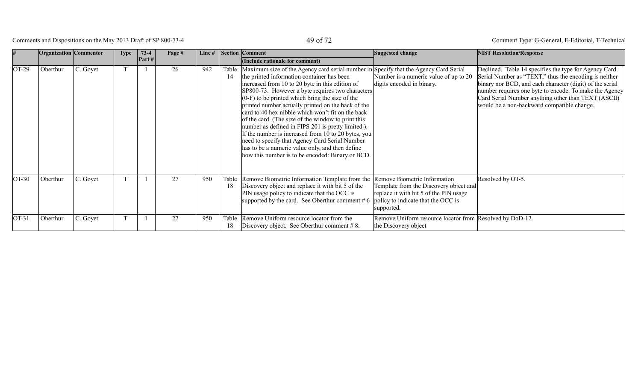# Comments and Dispositions on the May 2013 Draft of SP 800-73-4 49 of 72

|         | <b>Organization</b> Commentor |          | <b>Type</b>  | $73-4$   | Page # | Line $#$ |             | <b>Section Comment</b>                                                                                                                                                                                                                                                                                                                                                                                                                                                                                                                                                                                                                                                                                                                | Suggested change                                                                                                                                                     | <b>NIST Resolution/Response</b>                                                                                                                                                                                                                                                                                                           |
|---------|-------------------------------|----------|--------------|----------|--------|----------|-------------|---------------------------------------------------------------------------------------------------------------------------------------------------------------------------------------------------------------------------------------------------------------------------------------------------------------------------------------------------------------------------------------------------------------------------------------------------------------------------------------------------------------------------------------------------------------------------------------------------------------------------------------------------------------------------------------------------------------------------------------|----------------------------------------------------------------------------------------------------------------------------------------------------------------------|-------------------------------------------------------------------------------------------------------------------------------------------------------------------------------------------------------------------------------------------------------------------------------------------------------------------------------------------|
|         |                               |          |              | Part $#$ |        |          |             | (Include rationale for comment)                                                                                                                                                                                                                                                                                                                                                                                                                                                                                                                                                                                                                                                                                                       |                                                                                                                                                                      |                                                                                                                                                                                                                                                                                                                                           |
| $OT-29$ | Oberthur                      | C. Goyet |              |          | 26     | 942      | Table<br>14 | Maximum size of the Agency card serial number in Specify that the Agency Card Serial<br>the printed information container has been<br>increased from 10 to 20 byte in this edition of<br>SP800-73. However a byte requires two characters<br>$(0-F)$ to be printed which bring the size of the<br>printed number actually printed on the back of the<br>card to 40 hex nibble which won't fit on the back<br>of the card. (The size of the window to print this<br>number as defined in FIPS 201 is pretty limited.).<br>If the number is increased from 10 to 20 bytes, you<br>need to specify that Agency Card Serial Number<br>has to be a numeric value only, and then define<br>how this number is to be encoded: Binary or BCD. | Number is a numeric value of up to 20<br>digits encoded in binary.                                                                                                   | Declined. Table 14 specifies the type for Agency Card<br>Serial Number as "TEXT," thus the encoding is neither<br>binary nor BCD, and each character (digit) of the serial<br>number requires one byte to encode. To make the Agency<br>Card Serial Number anything other than TEXT (ASCII)<br>would be a non-backward compatible change. |
| $OT-30$ | Oberthur                      | C. Goyet | $\mathbf{T}$ |          | 27     | 950      | Table<br>18 | Remove Biometric Information Template from the<br>Discovery object and replace it with bit 5 of the<br>PIN usage policy to indicate that the OCC is<br>supported by the card. See Oberthur comment $#6$                                                                                                                                                                                                                                                                                                                                                                                                                                                                                                                               | Remove Biometric Information<br>Template from the Discovery object and<br>replace it with bit 5 of the PIN usage<br>policy to indicate that the OCC is<br>supported. | Resolved by OT-5.                                                                                                                                                                                                                                                                                                                         |
| $OT-31$ | Oberthur                      | C. Goyet | ጥ            |          | 27     | 950      | Table<br>18 | Remove Uniform resource locator from the<br>Discovery object. See Oberthur comment $# 8$ .                                                                                                                                                                                                                                                                                                                                                                                                                                                                                                                                                                                                                                            | Remove Uniform resource locator from Resolved by DoD-12.<br>the Discovery object                                                                                     |                                                                                                                                                                                                                                                                                                                                           |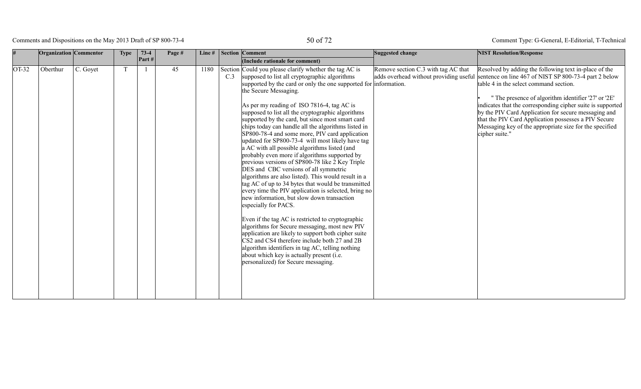# Comments and Dispositions on the May 2013 Draft of SP 800-73-4 50 of 72

|         | <b>Organization</b> Commentor |          | <b>Type</b> | $73-4$   | Page # | Line# |     | <b>Section Comment</b>                                                                                                                                                                                                                                                                                                                                                                                                                                                                                                                                                                                                                                                                                                                                                                                                                                                                                                                                                                                                                                                                                                                                                                                                                                                                                                 | Suggested change                    | <b>NIST Resolution/Response</b>                                                                                                                                                                                                                                                                                                                                                                                                                                                                                   |
|---------|-------------------------------|----------|-------------|----------|--------|-------|-----|------------------------------------------------------------------------------------------------------------------------------------------------------------------------------------------------------------------------------------------------------------------------------------------------------------------------------------------------------------------------------------------------------------------------------------------------------------------------------------------------------------------------------------------------------------------------------------------------------------------------------------------------------------------------------------------------------------------------------------------------------------------------------------------------------------------------------------------------------------------------------------------------------------------------------------------------------------------------------------------------------------------------------------------------------------------------------------------------------------------------------------------------------------------------------------------------------------------------------------------------------------------------------------------------------------------------|-------------------------------------|-------------------------------------------------------------------------------------------------------------------------------------------------------------------------------------------------------------------------------------------------------------------------------------------------------------------------------------------------------------------------------------------------------------------------------------------------------------------------------------------------------------------|
|         |                               |          |             | Part $#$ |        |       |     | (Include rationale for comment)                                                                                                                                                                                                                                                                                                                                                                                                                                                                                                                                                                                                                                                                                                                                                                                                                                                                                                                                                                                                                                                                                                                                                                                                                                                                                        |                                     |                                                                                                                                                                                                                                                                                                                                                                                                                                                                                                                   |
| $OT-32$ | Oberthur                      | C. Goyet |             |          | 45     | 1180  | C.3 | Section Could you please clarify whether the tag AC is<br>supposed to list all cryptographic algorithms<br>supported by the card or only the one supported for information.<br>the Secure Messaging.<br>As per my reading of ISO 7816-4, tag AC is<br>supposed to list all the cryptographic algorithms<br>supported by the card, but since most smart card<br>chips today can handle all the algorithms listed in<br>SP800-78-4 and some more, PIV card application<br>updated for SP800-73-4 will most likely have tag<br>a AC with all possible algorithms listed (and<br>probably even more if algorithms supported by<br>previous versions of SP800-78 like 2 Key Triple<br>DES and CBC versions of all symmetric<br>algorithms are also listed). This would result in a<br>tag AC of up to 34 bytes that would be transmitted<br>every time the PIV application is selected, bring no<br>new information, but slow down transaction<br>especially for PACS.<br>Even if the tag AC is restricted to cryptographic<br>algorithms for Secure messaging, most new PIV<br>application are likely to support both cipher suite<br>CS2 and CS4 therefore include both 27 and 2B<br>algorithm identifiers in tag AC, telling nothing<br>about which key is actually present (i.e.<br>personalized) for Secure messaging. | Remove section C.3 with tag AC that | Resolved by adding the following text in-place of the<br>adds overhead without providing useful sentence on line 467 of NIST SP 800-73-4 part 2 below<br>table 4 in the select command section.<br>" The presence of algorithm identifier '27' or '2E'<br>indicates that the corresponding cipher suite is supported<br>by the PIV Card Application for secure messaging and<br>that the PIV Card Application possesses a PIV Secure<br>Messaging key of the appropriate size for the specified<br>cipher suite." |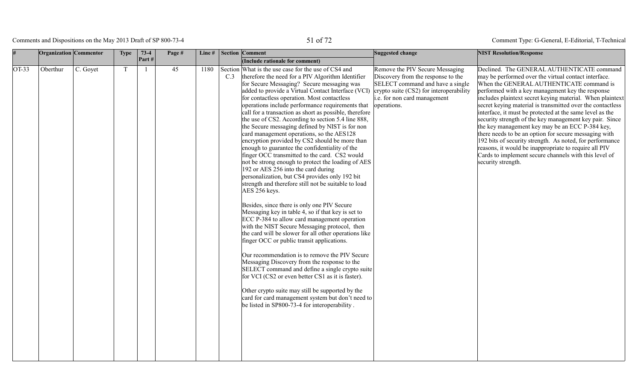# Comments and Dispositions on the May 2013 Draft of SP 800-73-4 51 of 72

|         | <b>Organization</b> Commentor |          | <b>Type</b> | $73-4$         | Page # | Line# |     | Section Comment                                                                                                                                                                                                                                                                                                                                                                                                                                                                                                                                                                                                                                                                                                                                                                                                                                                                                                                                                                                                                                                                                                                                                                                                                                                                                                                                                                                                                                                                                                                                                                                                                           | Suggested change                                                                                                                                         | <b>NIST Resolution/Response</b>                                                                                                                                                                                                                                                                                                                                                                                                                                                                                                                                                                                                                                                                                                                                      |
|---------|-------------------------------|----------|-------------|----------------|--------|-------|-----|-------------------------------------------------------------------------------------------------------------------------------------------------------------------------------------------------------------------------------------------------------------------------------------------------------------------------------------------------------------------------------------------------------------------------------------------------------------------------------------------------------------------------------------------------------------------------------------------------------------------------------------------------------------------------------------------------------------------------------------------------------------------------------------------------------------------------------------------------------------------------------------------------------------------------------------------------------------------------------------------------------------------------------------------------------------------------------------------------------------------------------------------------------------------------------------------------------------------------------------------------------------------------------------------------------------------------------------------------------------------------------------------------------------------------------------------------------------------------------------------------------------------------------------------------------------------------------------------------------------------------------------------|----------------------------------------------------------------------------------------------------------------------------------------------------------|----------------------------------------------------------------------------------------------------------------------------------------------------------------------------------------------------------------------------------------------------------------------------------------------------------------------------------------------------------------------------------------------------------------------------------------------------------------------------------------------------------------------------------------------------------------------------------------------------------------------------------------------------------------------------------------------------------------------------------------------------------------------|
|         |                               |          |             | Part#          |        |       |     | (Include rationale for comment)                                                                                                                                                                                                                                                                                                                                                                                                                                                                                                                                                                                                                                                                                                                                                                                                                                                                                                                                                                                                                                                                                                                                                                                                                                                                                                                                                                                                                                                                                                                                                                                                           |                                                                                                                                                          |                                                                                                                                                                                                                                                                                                                                                                                                                                                                                                                                                                                                                                                                                                                                                                      |
| $OT-33$ | Oberthur                      | C. Goyet | T           | $\overline{1}$ | 45     | 1180  | C.3 | Section What is the use case for the use of CS4 and<br>therefore the need for a PIV Algorithm Identifier<br>for Secure Messaging? Secure messaging was<br>added to provide a Virtual Contact Interface (VCI) $ $ crypto suite (CS2) for interoperability<br>for contactless operation. Most contactless<br>operations include performance requirements that<br>call for a transaction as short as possible, therefore<br>the use of CS2. According to section 5.4 line 888,<br>the Secure messaging defined by NIST is for non<br>card management operations, so the AES128<br>encryption provided by CS2 should be more than<br>enough to guarantee the confidentiality of the<br>finger OCC transmitted to the card. CS2 would<br>not be strong enough to protect the loading of AES<br>192 or AES 256 into the card during<br>personalization, but CS4 provides only 192 bit<br>strength and therefore still not be suitable to load<br>AES 256 keys.<br>Besides, since there is only one PIV Secure<br>Messaging key in table 4, so if that key is set to<br>ECC P-384 to allow card management operation<br>with the NIST Secure Messaging protocol, then<br>the card will be slower for all other operations like<br>finger OCC or public transit applications.<br>Our recommendation is to remove the PIV Secure<br>Messaging Discovery from the response to the<br>SELECT command and define a single crypto suite<br>for VCI (CS2 or even better CS1 as it is faster).<br>Other crypto suite may still be supported by the<br>card for card management system but don't need to<br>be listed in SP800-73-4 for interoperability. | Remove the PIV Secure Messaging<br>Discovery from the response to the<br>SELECT command and have a single<br>i.e. for non card management<br>operations. | Declined. The GENERAL AUTHENTICATE command<br>may be performed over the virtual contact interface.<br>When the GENERAL AUTHENTICATE command is<br>performed with a key management key the response<br>includes plaintext secret keying material. When plaintext<br>secret keying material is transmitted over the contactless<br>interface, it must be protected at the same level as the<br>security strength of the key management key pair. Since<br>the key management key may be an ECC P-384 key,<br>there needs to be an option for secure messaging with<br>192 bits of security strength. As noted, for performance<br>reasons, it would be inappropriate to require all PIV<br>Cards to implement secure channels with this level of<br>security strength. |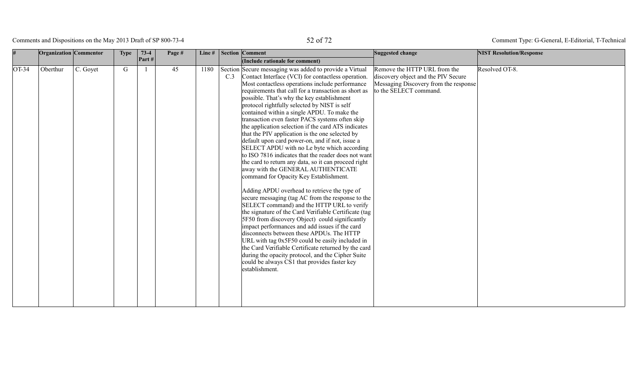# Comments and Dispositions on the May 2013 Draft of SP 800-73-4 52 of 72

|         | <b>Organization</b> Commentor |          | <b>Type</b> | $73-4$<br>Part $#$ | Page # | Line# |     | <b>Section Comment</b>                                                                                                                                                                                                                                                                                                                                                                                                                                                                                                                                                                                                                                                                                                                                                                                                                                                                                                                                                                                                                                                                                                                                                                                                                                                                                                                                                                                                              | Suggested change                                                                                                                       | <b>NIST Resolution/Response</b> |
|---------|-------------------------------|----------|-------------|--------------------|--------|-------|-----|-------------------------------------------------------------------------------------------------------------------------------------------------------------------------------------------------------------------------------------------------------------------------------------------------------------------------------------------------------------------------------------------------------------------------------------------------------------------------------------------------------------------------------------------------------------------------------------------------------------------------------------------------------------------------------------------------------------------------------------------------------------------------------------------------------------------------------------------------------------------------------------------------------------------------------------------------------------------------------------------------------------------------------------------------------------------------------------------------------------------------------------------------------------------------------------------------------------------------------------------------------------------------------------------------------------------------------------------------------------------------------------------------------------------------------------|----------------------------------------------------------------------------------------------------------------------------------------|---------------------------------|
|         |                               |          |             |                    |        |       |     | (Include rationale for comment)                                                                                                                                                                                                                                                                                                                                                                                                                                                                                                                                                                                                                                                                                                                                                                                                                                                                                                                                                                                                                                                                                                                                                                                                                                                                                                                                                                                                     |                                                                                                                                        |                                 |
| $OT-34$ | Oberthur                      | C. Goyet | G           |                    | 45     | 1180  | C.3 | Section Secure messaging was added to provide a Virtual<br>Contact Interface (VCI) for contactless operation.<br>Most contactless operations include performance<br>requirements that call for a transaction as short as<br>possible. That's why the key establishment<br>protocol rightfully selected by NIST is self<br>contained within a single APDU. To make the<br>transaction even faster PACS systems often skip<br>the application selection if the card ATS indicates<br>that the PIV application is the one selected by<br>default upon card power-on, and if not, issue a<br>SELECT APDU with no Le byte which according<br>to ISO 7816 indicates that the reader does not want<br>the card to return any data, so it can proceed right<br>away with the GENERAL AUTHENTICATE<br>command for Opacity Key Establishment.<br>Adding APDU overhead to retrieve the type of<br>secure messaging (tag AC from the response to the<br>SELECT command) and the HTTP URL to verify<br>the signature of the Card Verifiable Certificate (tag<br>5F50 from discovery Object) could significantly<br>impact performances and add issues if the card<br>disconnects between these APDUs. The HTTP<br>URL with tag 0x5F50 could be easily included in<br>the Card Verifiable Certificate returned by the card<br>during the opacity protocol, and the Cipher Suite<br>could be always CS1 that provides faster key<br>establishment. | Remove the HTTP URL from the<br>discovery object and the PIV Secure<br>Messaging Discovery from the response<br>to the SELECT command. | Resolved OT-8.                  |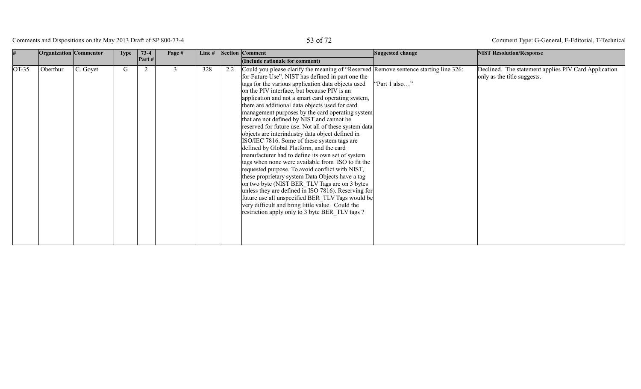# Comments and Dispositions on the May 2013 Draft of SP 800-73-4 53 of 72

|       | <b>Organization</b> Commentor |          | <b>Type</b> | $73-4$ | Page # | Line# |     | Section Comment                                                                                                                                                                                                                                                                                                                                                                                                                                                                                                                                                                                                                                                                                                                                                                                                                                                                                                                                                                                                                                                                                                                                     | Suggested change | <b>NIST Resolution/Response</b>                                                     |
|-------|-------------------------------|----------|-------------|--------|--------|-------|-----|-----------------------------------------------------------------------------------------------------------------------------------------------------------------------------------------------------------------------------------------------------------------------------------------------------------------------------------------------------------------------------------------------------------------------------------------------------------------------------------------------------------------------------------------------------------------------------------------------------------------------------------------------------------------------------------------------------------------------------------------------------------------------------------------------------------------------------------------------------------------------------------------------------------------------------------------------------------------------------------------------------------------------------------------------------------------------------------------------------------------------------------------------------|------------------|-------------------------------------------------------------------------------------|
|       |                               |          |             | Part # |        |       |     | (Include rationale for comment)                                                                                                                                                                                                                                                                                                                                                                                                                                                                                                                                                                                                                                                                                                                                                                                                                                                                                                                                                                                                                                                                                                                     |                  |                                                                                     |
| OT-35 | Oberthur                      | C. Goyet | G           | 2      | 3      | 328   | 2.2 | Could you please clarify the meaning of "Reserved Remove sentence starting line 326:<br>for Future Use". NIST has defined in part one the<br>tags for the various application data objects used<br>on the PIV interface, but because PIV is an<br>application and not a smart card operating system,<br>there are additional data objects used for card<br>management purposes by the card operating system<br>that are not defined by NIST and cannot be<br>reserved for future use. Not all of these system data<br>objects are interindustry data object defined in<br>ISO/IEC 7816. Some of these system tags are<br>defined by Global Platform, and the card<br>manufacturer had to define its own set of system<br>tags when none were available from ISO to fit the<br>requested purpose. To avoid conflict with NIST,<br>these proprietary system Data Objects have a tag<br>on two byte (NIST BER TLV Tags are on 3 bytes<br>unless they are defined in ISO 7816). Reserving for<br>future use all unspecified BER_TLV Tags would be<br>very difficult and bring little value. Could the<br>restriction apply only to 3 byte BER TLV tags? | "Part 1 also"    | Declined. The statement applies PIV Card Application<br>only as the title suggests. |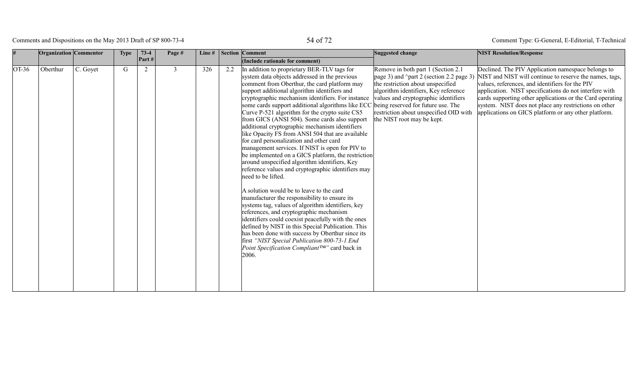# Comments and Dispositions on the May 2013 Draft of SP 800-73-4 54 of 72

|         | <b>Organization</b> Commentor |          | <b>Type</b> | $73-4$ | Page #         | Line $#$ |     | <b>Section Comment</b>                                                                                                                                                                                                                                                                                                                                                                                                                                                                                                                                                                                                                                                                                                                                                                                                                                                                                                                                                                                                                                                                                                                                                                                                                                                             | Suggested change                                                                                                                                                                                                                                                                                                   | <b>NIST Resolution/Response</b>                                                                                                                                                                                                                                                                                                                                                                          |
|---------|-------------------------------|----------|-------------|--------|----------------|----------|-----|------------------------------------------------------------------------------------------------------------------------------------------------------------------------------------------------------------------------------------------------------------------------------------------------------------------------------------------------------------------------------------------------------------------------------------------------------------------------------------------------------------------------------------------------------------------------------------------------------------------------------------------------------------------------------------------------------------------------------------------------------------------------------------------------------------------------------------------------------------------------------------------------------------------------------------------------------------------------------------------------------------------------------------------------------------------------------------------------------------------------------------------------------------------------------------------------------------------------------------------------------------------------------------|--------------------------------------------------------------------------------------------------------------------------------------------------------------------------------------------------------------------------------------------------------------------------------------------------------------------|----------------------------------------------------------------------------------------------------------------------------------------------------------------------------------------------------------------------------------------------------------------------------------------------------------------------------------------------------------------------------------------------------------|
|         |                               |          |             | Part#  |                |          |     | (Include rationale for comment)                                                                                                                                                                                                                                                                                                                                                                                                                                                                                                                                                                                                                                                                                                                                                                                                                                                                                                                                                                                                                                                                                                                                                                                                                                                    |                                                                                                                                                                                                                                                                                                                    |                                                                                                                                                                                                                                                                                                                                                                                                          |
| $OT-36$ | Oberthur                      | C. Goyet | G           | 2      | $\mathfrak{Z}$ | 326      | 2.2 | In addition to proprietary BER-TLV tags for<br>system data objects addressed in the previous<br>comment from Oberthur, the card platform may<br>support additional algorithm identifiers and<br>cryptographic mechanism identifiers. For instance<br>some cards support additional algorithms like ECC<br>Curve P-521 algorithm for the crypto suite CS5<br>from GICS (ANSI 504). Some cards also support<br>additional cryptographic mechanism identifiers<br>like Opacity FS from ANSI 504 that are available<br>for card personalization and other card<br>management services. If NIST is open for PIV to<br>be implemented on a GICS platform, the restriction<br>around unspecified algorithm identifiers, Key<br>reference values and cryptographic identifiers may<br>need to be lifted.<br>A solution would be to leave to the card<br>manufacturer the responsibility to ensure its<br>systems tag, values of algorithm identifiers, key<br>references, and cryptographic mechanism<br>identifiers could coexist peacefully with the ones<br>defined by NIST in this Special Publication. This<br>has been done with success by Oberthur since its<br>first "NIST Special Publication 800-73-1 End<br>Point Specification Compliant <sup>TM"</sup> card back in<br>2006. | Remove in both part 1 (Section 2.1)<br>page 3) and ^part 2 (section 2.2 page 3)<br>the restriction about unspecified<br>algorithm identifiers, Key reference<br>values and cryptographic identifiers<br>being reserved for future use. The<br>restriction about unspecified OID with<br>the NIST root may be kept. | Declined. The PIV Application namespace belongs to<br>NIST and NIST will continue to reserve the names, tags,<br>values, references, and identifiers for the PIV<br>application. NIST specifications do not interfere with<br>cards supporting other applications or the Card operating<br>system. NIST does not place any restrictions on other<br>applications on GICS platform or any other platform. |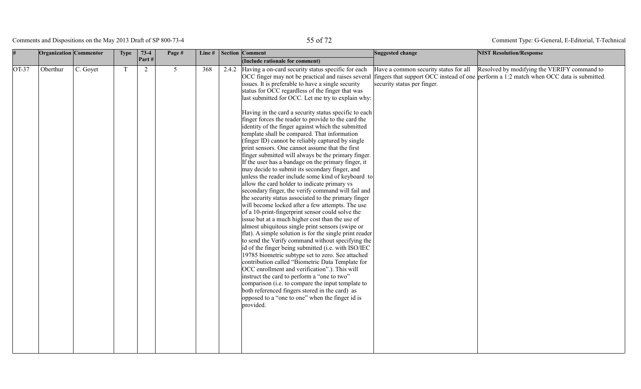# Comments and Dispositions on the May 2013 Draft of SP 800-73-4 55 of 72

Type: G-General, E-Editorial, T-Technical

|         | Organization Commentor |          | <b>Type</b> | $73-4$ | Page #         | Line# | <b>Section Comment</b>                                                                                                                                                                                                                                                                                                                                                                                                                                                                                                                                                                                                                                                                                                                                                                                                                                                                                                                                                                                                                                                                                                                                                                                                                                                                                                                                                                                                                                                                                                                                                                                                                                                                                                                                                 | Suggested change                                                     | <b>NIST Resolution/Response</b>                                                                                                        |
|---------|------------------------|----------|-------------|--------|----------------|-------|------------------------------------------------------------------------------------------------------------------------------------------------------------------------------------------------------------------------------------------------------------------------------------------------------------------------------------------------------------------------------------------------------------------------------------------------------------------------------------------------------------------------------------------------------------------------------------------------------------------------------------------------------------------------------------------------------------------------------------------------------------------------------------------------------------------------------------------------------------------------------------------------------------------------------------------------------------------------------------------------------------------------------------------------------------------------------------------------------------------------------------------------------------------------------------------------------------------------------------------------------------------------------------------------------------------------------------------------------------------------------------------------------------------------------------------------------------------------------------------------------------------------------------------------------------------------------------------------------------------------------------------------------------------------------------------------------------------------------------------------------------------------|----------------------------------------------------------------------|----------------------------------------------------------------------------------------------------------------------------------------|
|         |                        |          |             | Part # |                |       | (Include rationale for comment)                                                                                                                                                                                                                                                                                                                                                                                                                                                                                                                                                                                                                                                                                                                                                                                                                                                                                                                                                                                                                                                                                                                                                                                                                                                                                                                                                                                                                                                                                                                                                                                                                                                                                                                                        |                                                                      |                                                                                                                                        |
| $OT-37$ | Oberthur               | C. Goyet | T           | 2      | 5 <sup>1</sup> | 368   | 2.4.2 Having a on-card security status specific for each<br>OCC finger may not be practical and raises several<br>issues. It is preferable to have a single security<br>status for OCC regardless of the finger that was<br>last submitted for OCC. Let me try to explain why:<br>Having in the card a security status specific to each<br>finger forces the reader to provide to the card the<br>identity of the finger against which the submitted<br>template shall be compared. That information<br>(finger ID) cannot be reliably captured by single<br>print sensors. One cannot assume that the first<br>finger submitted will always be the primary finger.<br>If the user has a bandage on the primary finger, it<br>may decide to submit its secondary finger, and<br>unless the reader include some kind of keyboard to<br>allow the card holder to indicate primary vs<br>secondary finger, the verify command will fail and<br>the security status associated to the primary finger<br>will become locked after a few attempts. The use<br>of a 10-print-fingerprint sensor could solve the<br>issue but at a much higher cost than the use of<br>almost ubiquitous single print sensors (swipe or<br>flat). A simple solution is for the single print reader<br>to send the Verify command without specifying the<br>id of the finger being submitted (i.e. with ISO/IEC<br>19785 biometric subtype set to zero. See attached<br>contribution called "Biometric Data Template for<br>OCC enrollment and verification".). This will<br>instruct the card to perform a "one to two"<br>comparison (i.e. to compare the input template to<br>both referenced fingers stored in the card) as<br>opposed to a "one to one" when the finger id is<br>provided. | Have a common security status for all<br>security status per finger. | Resolved by modifying the VERIFY command to<br>fingers that support OCC instead of one perform a 1:2 match when OCC data is submitted. |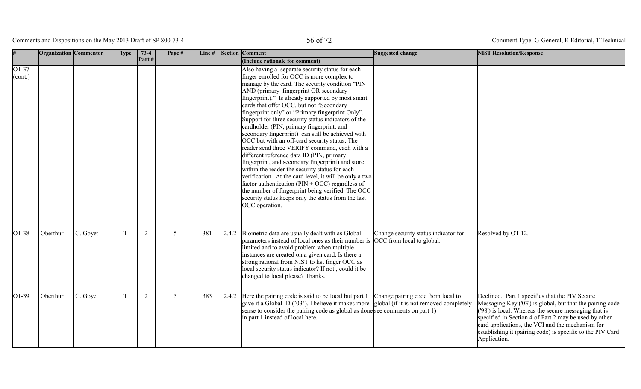Comments and Dispositions on the May 2013 Draft of SP 800-73-4 56 of 72

| #                      | <b>Organization</b> Commentor |          | <b>Type</b> | $73-4$         | Page # | Line# |       | <b>Section Comment</b>                                                                                                                                                                                                                                                                                                                                                                                                                                                                                                                                                                                                                                                                                                                                                                                                                                                                                                                                                                                        | Suggested change                     | <b>NIST Resolution/Response</b>                                                                                                                                                                                                                                                                                                                                 |
|------------------------|-------------------------------|----------|-------------|----------------|--------|-------|-------|---------------------------------------------------------------------------------------------------------------------------------------------------------------------------------------------------------------------------------------------------------------------------------------------------------------------------------------------------------------------------------------------------------------------------------------------------------------------------------------------------------------------------------------------------------------------------------------------------------------------------------------------------------------------------------------------------------------------------------------------------------------------------------------------------------------------------------------------------------------------------------------------------------------------------------------------------------------------------------------------------------------|--------------------------------------|-----------------------------------------------------------------------------------------------------------------------------------------------------------------------------------------------------------------------------------------------------------------------------------------------------------------------------------------------------------------|
|                        |                               |          |             | Part#          |        |       |       | (Include rationale for comment)                                                                                                                                                                                                                                                                                                                                                                                                                                                                                                                                                                                                                                                                                                                                                                                                                                                                                                                                                                               |                                      |                                                                                                                                                                                                                                                                                                                                                                 |
| $OT-37$<br>$ $ (cont.) |                               |          |             |                |        |       |       | Also having a separate security status for each<br>finger enrolled for OCC is more complex to<br>manage by the card. The security condition "PIN"<br>AND (primary fingerprint OR secondary<br>fingerprint)." Is already supported by most smart<br>cards that offer OCC, but not "Secondary<br>fingerprint only" or "Primary fingerprint Only".<br>Support for three security status indicators of the<br>cardholder (PIN, primary fingerprint, and<br>secondary fingerprint) can still be achieved with<br>OCC but with an off-card security status. The<br>reader send three VERIFY command, each with a<br>different reference data ID (PIN, primary<br>fingerprint, and secondary fingerprint) and store<br>within the reader the security status for each<br>verification. At the card level, it will be only a two<br>factor authentication ( $PIN + OCC$ ) regardless of<br>the number of fingerprint being verified. The OCC<br>security status keeps only the status from the last<br>OCC operation. |                                      |                                                                                                                                                                                                                                                                                                                                                                 |
| $OT-38$                | Oberthur                      | C. Goyet | T           | 2              | 5      | 381   | 2.4.2 | Biometric data are usually dealt with as Global<br>parameters instead of local ones as their number is OCC from local to global.<br>limited and to avoid problem when multiple<br>instances are created on a given card. Is there a<br>strong rational from NIST to list finger OCC as<br>local security status indicator? If not, could it be<br>changed to local please? Thanks.                                                                                                                                                                                                                                                                                                                                                                                                                                                                                                                                                                                                                            | Change security status indicator for | Resolved by OT-12.                                                                                                                                                                                                                                                                                                                                              |
| $OT-39$                | Oberthur                      | C. Goyet | T           | $\overline{2}$ | 5      | 383   | 2.4.2 | Here the pairing code is said to be local but part $1$ Change pairing code from local to<br>gave it a Global ID ('03'). I believe it makes more global (if it is not removed completely<br>sense to consider the pairing code as global as done see comments on part 1)<br>in part 1 instead of local here.                                                                                                                                                                                                                                                                                                                                                                                                                                                                                                                                                                                                                                                                                                   |                                      | Declined. Part 1 specifies that the PIV Secure<br>Messaging Key ('03') is global, but that the pairing code<br>('98') is local. Whereas the secure messaging that is<br>specified in Section 4 of Part 2 may be used by other<br>card applications, the VCI and the mechanism for<br>establishing it (pairing code) is specific to the PIV Card<br>Application. |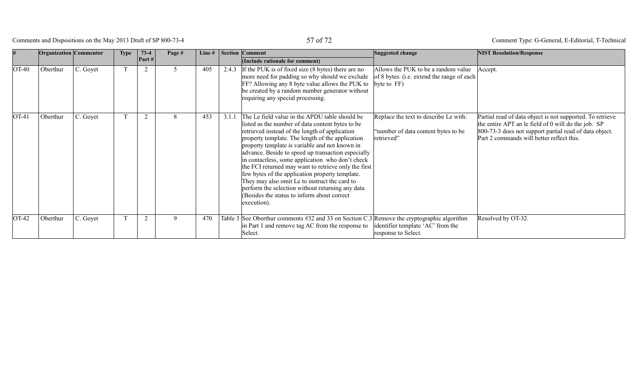Comments and Dispositions on the May 2013 Draft of SP 800-73-4 57 of 72

|         | <b>Organization</b> Commentor |          | <b>Type</b> | $73-4$<br>Part# | Page # |     |       | Line #   Section   Comment<br>(Include rationale for comment)                                                                                                                                                                                                                                                                                                                                                                                                                                                                                                                                                                                      | Suggested change                                                                                     | <b>NIST Resolution/Response</b>                                                                                                                                                                                         |
|---------|-------------------------------|----------|-------------|-----------------|--------|-----|-------|----------------------------------------------------------------------------------------------------------------------------------------------------------------------------------------------------------------------------------------------------------------------------------------------------------------------------------------------------------------------------------------------------------------------------------------------------------------------------------------------------------------------------------------------------------------------------------------------------------------------------------------------------|------------------------------------------------------------------------------------------------------|-------------------------------------------------------------------------------------------------------------------------------------------------------------------------------------------------------------------------|
| OT-40   | Oberthur                      | C. Goyet |             | 2               |        | 405 | 2.4.3 | If the PUK is of fixed size (8 bytes) there are no<br>more need for padding so why should we exclude<br>FF? Allowing any 8 byte value allows the PUK to<br>be created by a random number generator without<br>requiring any special processing.                                                                                                                                                                                                                                                                                                                                                                                                    | Allows the PUK to be a random value<br>of 8 bytes. (i.e. extend the range of each)<br>byte to $FF$ ) | Accept.                                                                                                                                                                                                                 |
| $OT-41$ | Oberthur                      | C. Goyet |             | $\overline{2}$  |        | 453 | 3.1.1 | The Le field value in the APDU table should be<br>listed as the number of data content bytes to be<br>retrieved instead of the length of application<br>property template. The length of the application<br>property template is variable and not known in<br>advance. Beside to speed up transaction especially<br>in contactless, some application who don't check<br>the FCI returned may want to retrieve only the first<br>few bytes of the application property template.<br>They may also omit Le to instruct the card to<br>perform the selection without returning any data<br>(Besides the status to inform about correct<br>execution). | Replace the text to describe Le with:<br>"number of data content bytes to be<br>retrieved"           | Partial read of data object is not supported. To retrieve<br>the entire APT an le field of 0 will do the job. SP<br>800-73-3 does not support partial read of data object.<br>Part 2 commands will better reflect this. |
| OT-42   | Oberthur                      | C. Goyet |             | 2               | 9      | 470 |       | Table 3 See Oberthur comments $\#32$ and 33 on Section C.3 Remove the cryptographic algorithm<br>in Part 1 and remove tag AC from the response to<br>Select.                                                                                                                                                                                                                                                                                                                                                                                                                                                                                       | identifier template 'AC' from the<br>response to Select.                                             | Resolved by OT-32.                                                                                                                                                                                                      |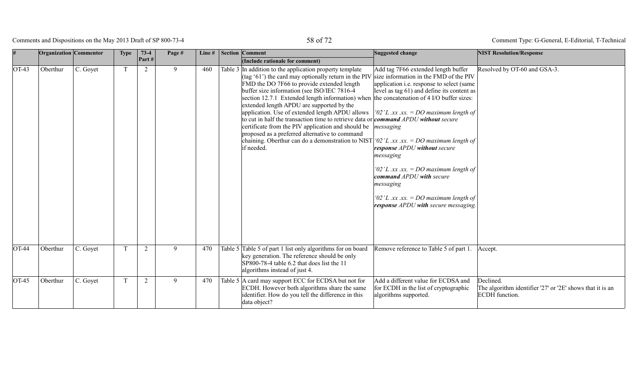# Comments and Dispositions on the May 2013 Draft of SP 800-73-4 58 of 72

|         | Organization Commentor |          | <b>Type</b> | $73-4$<br>$\vert$ Part # | Page # | Line# | <b>Section Comment</b><br>(Include rationale for comment)                                                                                                                                                                                                                                                                                                                                                                                                                                                                                                                                                                                                                                                                                                                                                                              | Suggested change                                                                                                                                                                                                                                                                                                                                                                    | <b>NIST Resolution/Response</b>                                                          |
|---------|------------------------|----------|-------------|--------------------------|--------|-------|----------------------------------------------------------------------------------------------------------------------------------------------------------------------------------------------------------------------------------------------------------------------------------------------------------------------------------------------------------------------------------------------------------------------------------------------------------------------------------------------------------------------------------------------------------------------------------------------------------------------------------------------------------------------------------------------------------------------------------------------------------------------------------------------------------------------------------------|-------------------------------------------------------------------------------------------------------------------------------------------------------------------------------------------------------------------------------------------------------------------------------------------------------------------------------------------------------------------------------------|------------------------------------------------------------------------------------------|
| $OT-43$ | Oberthur               | C. Goyet | T           | $\overline{2}$           | 9      | 460   | Table 3 In addition to the application property template<br>$\left  \frac{\text{(tag '61')}}{\text{the card may optionally return in the PIV}} \right $ size information in the FMD of the PIV<br>FMD the DO 7F66 to provide extended length<br>buffer size information (see ISO/IEC 7816-4)<br>section 12.7.1 Extended length information) when the concatenation of 4 I/O buffer sizes:<br>extended length APDU are supported by the<br>application. Use of extended length APDU allows<br>to cut in half the transaction time to retrieve data or <i>command APDU without secure</i><br>certificate from the PIV application and should be $\parallel$ <i>messaging</i><br>proposed as a preferred alternative to command<br>chaining. Oberthur can do a demonstration to NIST '02' L .xx .xx. = DO maximum length of<br>if needed. | Add tag 7F66 extended length buffer<br>application i.e. response to select (same<br>level as tag 61) and define its content as<br>'02'L .xx .xx. = DO maximum length of<br>response APDU without secure<br>messaging<br>'02'L.xx.xx. = DO maximum length of<br>command APDU with secure<br>messaging<br>'02'L.xx.xx. = DO maximum length of<br>response APDU with secure messaging. | Resolved by OT-60 and GSA-3.                                                             |
| $OT-44$ | Oberthur               | C. Goyet | T           | $\overline{2}$           | 9      | 470   | Table 5 Table 5 of part 1 list only algorithms for on board<br>key generation. The reference should be only<br>SP800-78-4 table 6.2 that does list the 11<br>algorithms instead of just 4.                                                                                                                                                                                                                                                                                                                                                                                                                                                                                                                                                                                                                                             | Remove reference to Table 5 of part 1.                                                                                                                                                                                                                                                                                                                                              | Accept.                                                                                  |
| $OT-45$ | Oberthur               | C. Goyet | T           | $\overline{2}$           | 9      | 470   | Table 5 A card may support ECC for ECDSA but not for<br>ECDH. However both algorithms share the same<br>identifier. How do you tell the difference in this<br>data object?                                                                                                                                                                                                                                                                                                                                                                                                                                                                                                                                                                                                                                                             | Add a different value for ECDSA and<br>for ECDH in the list of cryptographic<br>algorithms supported.                                                                                                                                                                                                                                                                               | Declined.<br>The algorithm identifier '27' or '2E' shows that it is an<br>ECDH function. |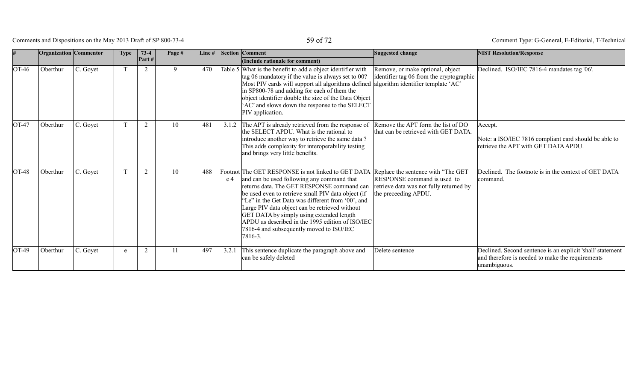Comments and Dispositions on the May 2013 Draft of SP 800-73-4 59 of 72

|                    | <b>Organization</b> Commentor |          | <b>Type</b> | $73-4$<br>Part # | Page # | Line# |       | Section Comment<br>(Include rationale for comment)                                                                                                                                                                                                                                                                                                                                                                                                                                                     | Suggested change                                                                               | <b>NIST Resolution/Response</b>                                                                                                |
|--------------------|-------------------------------|----------|-------------|------------------|--------|-------|-------|--------------------------------------------------------------------------------------------------------------------------------------------------------------------------------------------------------------------------------------------------------------------------------------------------------------------------------------------------------------------------------------------------------------------------------------------------------------------------------------------------------|------------------------------------------------------------------------------------------------|--------------------------------------------------------------------------------------------------------------------------------|
| OT-46              | Oberthur                      | C. Goyet |             | 2                | 9      | 470   |       | Table 5 What is the benefit to add a object identifier with<br>tag 06 mandatory if the value is always set to 00?<br>Most PIV cards will support all algorithms defined algorithm identifier template 'AC'<br>in SP800-78 and adding for each of them the<br>object identifier double the size of the Data Object<br>AC' and slows down the response to the SELECT<br>PIV application.                                                                                                                 | Remove, or make optional, object<br>identifier tag 06 from the cryptographic                   | Declined. ISO/IEC 7816-4 mandates tag '06'.                                                                                    |
| $\overline{O}T-47$ | Oberthur                      | C. Goyet |             | $\overline{2}$   | 10     | 481   | 3.1.2 | The APT is already retrieved from the response of Remove the APT form the list of DO<br>the SELECT APDU. What is the rational to<br>introduce another way to retrieve the same data?<br>This adds complexity for interoperability testing<br>and brings very little benefits.                                                                                                                                                                                                                          | that can be retrieved with GET DATA.                                                           | Accept.<br>Note: a ISO/IEC 7816 compliant card should be able to<br>retrieve the APT with GET DATA APDU.                       |
| $OT-48$            | Oberthur                      | C. Goyet |             | 2                | 10     | 488   | e 4   | Footnot The GET RESPONSE is not linked to GET DATA Replace the sentence with "The GET<br>and can be used following any command that<br>returns data. The GET RESPONSE command can<br>be used even to retrieve small PIV data object (if<br>'Le" in the Get Data was different from '00', and<br>Large PIV data object can be retrieved without<br>GET DATA by simply using extended length<br>APDU as described in the 1995 edition of ISO/IEC<br>7816-4 and subsequently moved to ISO/IEC<br> 7816-3. | RESPONSE command is used to<br>retrieve data was not fully returned by<br>the preceeding APDU. | Declined. The footnote is in the context of GET DATA<br>command.                                                               |
| $OT-49$            | Oberthur                      | C. Goyet | e           | 2                |        | 497   | 3.2.1 | This sentence duplicate the paragraph above and<br>can be safely deleted                                                                                                                                                                                                                                                                                                                                                                                                                               | Delete sentence                                                                                | Declined. Second sentence is an explicit 'shall' statement<br>and therefore is needed to make the requirements<br>unambiguous. |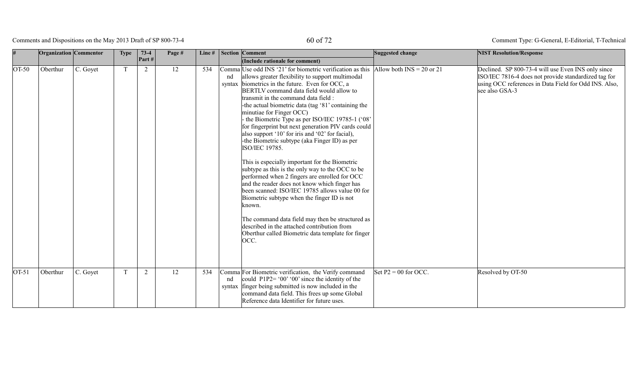# Comments and Dispositions on the May 2013 Draft of SP 800-73-4 60 of 72

| $\vert \#$ | <b>Organization</b> Commentor |          | <b>Type</b> | $73-4$ | Page # | Line# |    | <b>Section Comment</b>                                                                                                                                                                                                                                                                                                                                                                                                                                                                                                                                                                                                                                                                                                                                                                                                                                                                                                                                                                                                                                                                    | Suggested change                             | <b>NIST Resolution/Response</b>                                                                                                                                                       |
|------------|-------------------------------|----------|-------------|--------|--------|-------|----|-------------------------------------------------------------------------------------------------------------------------------------------------------------------------------------------------------------------------------------------------------------------------------------------------------------------------------------------------------------------------------------------------------------------------------------------------------------------------------------------------------------------------------------------------------------------------------------------------------------------------------------------------------------------------------------------------------------------------------------------------------------------------------------------------------------------------------------------------------------------------------------------------------------------------------------------------------------------------------------------------------------------------------------------------------------------------------------------|----------------------------------------------|---------------------------------------------------------------------------------------------------------------------------------------------------------------------------------------|
|            |                               |          |             | Part#  |        |       |    | (Include rationale for comment)                                                                                                                                                                                                                                                                                                                                                                                                                                                                                                                                                                                                                                                                                                                                                                                                                                                                                                                                                                                                                                                           |                                              |                                                                                                                                                                                       |
| $OT-50$    | Oberthur                      | C. Goyet | $\mathbf T$ | 2      | 12     | 534   | nd | Comma Use odd INS '21' for biometric verification as this  Allow both INS = 20 or 21<br>allows greater flexibility to support multimodal<br>syntax biometrics in the future. Even for OCC, a<br>BERTLV command data field would allow to<br>transmit in the command data field :<br>-the actual biometric data (tag '81' containing the<br>minutiae for Finger OCC)<br>the Biometric Type as per ISO/IEC 19785-1 ('08'<br>for fingerprint but next generation PIV cards could<br>also support '10' for iris and '02' for facial),<br>-the Biometric subtype (aka Finger ID) as per<br>ISO/IEC 19785.<br>This is especially important for the Biometric<br>subtype as this is the only way to the OCC to be<br>performed when 2 fingers are enrolled for OCC<br>and the reader does not know which finger has<br>been scanned: ISO/IEC 19785 allows value 00 for<br>Biometric subtype when the finger ID is not<br>known.<br>The command data field may then be structured as<br>described in the attached contribution from<br>Oberthur called Biometric data template for finger<br>OCC. |                                              | Declined. SP 800-73-4 will use Even INS only since<br>ISO/IEC 7816-4 does not provide standardized tag for<br>using OCC references in Data Field for Odd INS. Also,<br>see also GSA-3 |
| $OT-51$    | Oberthur                      | C. Goyet |             | 2      | 12     | 534   | nd | Comma For Biometric verification, the Verify command<br>could $P1P2 = '00' '00'$ since the identity of the<br>syntax finger being submitted is now included in the<br>command data field. This frees up some Global<br>Reference data Identifier for future uses.                                                                                                                                                                                                                                                                                                                                                                                                                                                                                                                                                                                                                                                                                                                                                                                                                         | $\text{Set} \text{P2} = 00 \text{ for OCC}.$ | Resolved by OT-50                                                                                                                                                                     |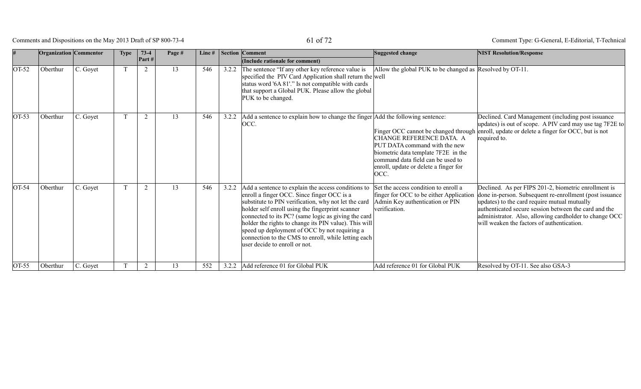Comments and Dispositions on the May 2013 Draft of SP 800-73-4 61 of 72

|         | <b>Organization</b> Commentor |          | <b>Type</b> | $73-4$         | Page # | Line# |       | <b>Section Comment</b>                                                                                                                                                                                                                                                                                                                                                                                                                                                | Suggested change                                                                                                                                                                       | <b>NIST Resolution/Response</b>                                                                                                                                                                                                                                                                                                  |
|---------|-------------------------------|----------|-------------|----------------|--------|-------|-------|-----------------------------------------------------------------------------------------------------------------------------------------------------------------------------------------------------------------------------------------------------------------------------------------------------------------------------------------------------------------------------------------------------------------------------------------------------------------------|----------------------------------------------------------------------------------------------------------------------------------------------------------------------------------------|----------------------------------------------------------------------------------------------------------------------------------------------------------------------------------------------------------------------------------------------------------------------------------------------------------------------------------|
|         |                               |          |             | Part#          |        |       |       | (Include rationale for comment)                                                                                                                                                                                                                                                                                                                                                                                                                                       |                                                                                                                                                                                        |                                                                                                                                                                                                                                                                                                                                  |
| $OT-52$ | Oberthur                      | C. Goyet |             | 2              | 13     | 546   | 3.2.2 | The sentence "If any other key reference value is<br>specified the PIV Card Application shall return the well<br>status word '6A 81'." Is not compatible with cards<br>that support a Global PUK. Please allow the global<br>PUK to be changed.                                                                                                                                                                                                                       | Allow the global PUK to be changed as Resolved by OT-11.                                                                                                                               |                                                                                                                                                                                                                                                                                                                                  |
| $OT-53$ | Oberthur                      | C. Goyet |             | $\overline{2}$ | 13     | 546   | 3.2.2 | Add a sentence to explain how to change the finger Add the following sentence:<br>OCC.                                                                                                                                                                                                                                                                                                                                                                                | CHANGE REFERENCE DATA. A<br>PUT DATA command with the new<br>biometric data template 7F2E in the<br>command data field can be used to<br>enroll, update or delete a finger for<br>OCC. | Declined. Card Management (including post issuance<br>updates) is out of scope. A PIV card may use tag 7F2E to<br>Finger OCC cannot be changed through enroll, update or delete a finger for OCC, but is not<br>required to.                                                                                                     |
| $OT-54$ | Oberthur                      | C. Goyet |             | $\overline{2}$ | 13     | 546   | 3.2.2 | Add a sentence to explain the access conditions to<br>enroll a finger OCC. Since finger OCC is a<br>substitute to PIN verification, why not let the card<br>holder self enroll using the fingerprint scanner<br>connected to its PC? (same logic as giving the card<br>holder the rights to change its PIN value). This will<br>speed up deployment of OCC by not requiring a<br>connection to the CMS to enroll, while letting each<br>user decide to enroll or not. | Set the access condition to enroll a<br>finger for OCC to be either Application<br>Admin Key authentication or PIN<br>verification.                                                    | Declined. As per FIPS 201-2, biometric enrollment is<br>done in-person. Subsequent re-enrollment (post issuance<br>updates) to the card require mutual mutually<br>authenticated secure session between the card and the<br>administrator. Also, allowing cardholder to change OCC<br>will weaken the factors of authentication. |
| $OT-55$ | Oberthur                      | C. Goyet |             | 2              | 13     | 552   | 3.2.2 | Add reference 01 for Global PUK                                                                                                                                                                                                                                                                                                                                                                                                                                       | Add reference 01 for Global PUK                                                                                                                                                        | Resolved by OT-11. See also GSA-3                                                                                                                                                                                                                                                                                                |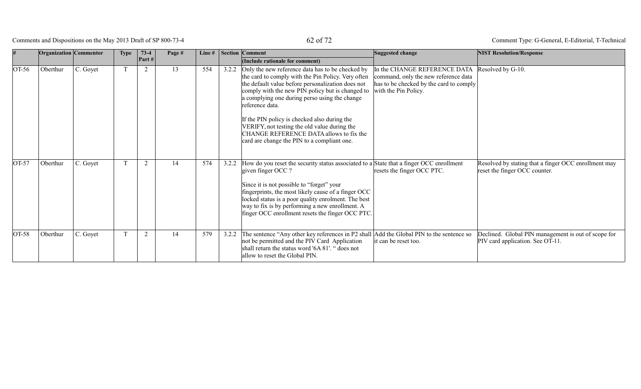Comments and Dispositions on the May 2013 Draft of SP 800-73-4  $62$  of 72

|                    | <b>Organization</b> Commentor |          | <b>Type</b> | $73-4$<br>Part# | Page # | Line $#$ |       | Section Comment<br>(Include rationale for comment)                                                                                                                                                                                                                                                                                                                                                                                                                            | Suggested change                                                                                                                        | <b>NIST Resolution/Response</b>                                                         |
|--------------------|-------------------------------|----------|-------------|-----------------|--------|----------|-------|-------------------------------------------------------------------------------------------------------------------------------------------------------------------------------------------------------------------------------------------------------------------------------------------------------------------------------------------------------------------------------------------------------------------------------------------------------------------------------|-----------------------------------------------------------------------------------------------------------------------------------------|-----------------------------------------------------------------------------------------|
| $\overline{O}T-56$ | Oberthur                      | C. Goyet |             | $\overline{2}$  | 13     | 554      | 3.2.2 | Only the new reference data has to be checked by<br>the card to comply with the Pin Policy. Very often<br>the default value before personalization does not<br>comply with the new PIN policy but is changed to<br>a complying one during perso using the change<br>reference data.<br>If the PIN policy is checked also during the<br>VERIFY, not testing the old value during the<br>CHANGE REFERENCE DATA allows to fix the<br>card are change the PIN to a compliant one. | In the CHANGE REFERENCE DATA<br>command, only the new reference data<br>has to be checked by the card to comply<br>with the Pin Policy. | Resolved by G-10.                                                                       |
| $OT-57$            | Oberthur                      | C. Goyet |             | $\overline{2}$  | 14     | 574      | 3.2.2 | How do you reset the security status associated to a State that a finger OCC enrollment<br>given finger OCC ?<br>Since it is not possible to "forget" your<br>fingerprints, the most likely cause of a finger OCC<br>locked status is a poor quality enrolment. The best<br>way to fix is by performing a new enrollment. A<br>finger OCC enrollment resets the finger OCC PTC.                                                                                               | resets the finger OCC PTC.                                                                                                              | Resolved by stating that a finger OCC enrollment may<br>reset the finger OCC counter.   |
| $OT-58$            | Oberthur                      | C. Goyet |             | 2               | 14     | 579      | 3.2.2 | The sentence "Any other key references in P2 shall<br>not be permitted and the PIV Card Application<br>shall return the status word '6A 81'. " does not<br>allow to reset the Global PIN.                                                                                                                                                                                                                                                                                     | Add the Global PIN to the sentence so<br>it can be reset too.                                                                           | Declined. Global PIN management is out of scope for<br>PIV card application. See OT-11. |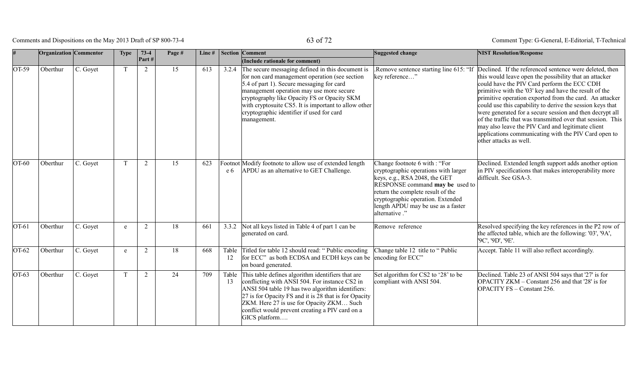# Comments and Dispositions on the May 2013 Draft of SP 800-73-4 63 of 72

|         | <b>Organization</b> Commentor |          | <b>Type</b> | $73-4$<br>Part# | Page # | Line # |             | <b>Section Comment</b><br>(Include rationale for comment)                                                                                                                                                                                                                                                                                                      | Suggested change                                                                                                                                                                                                                                                           | <b>NIST Resolution/Response</b>                                                                                                                                                                                                                                                                                                                                                                                                                                                                                                                                                                                      |
|---------|-------------------------------|----------|-------------|-----------------|--------|--------|-------------|----------------------------------------------------------------------------------------------------------------------------------------------------------------------------------------------------------------------------------------------------------------------------------------------------------------------------------------------------------------|----------------------------------------------------------------------------------------------------------------------------------------------------------------------------------------------------------------------------------------------------------------------------|----------------------------------------------------------------------------------------------------------------------------------------------------------------------------------------------------------------------------------------------------------------------------------------------------------------------------------------------------------------------------------------------------------------------------------------------------------------------------------------------------------------------------------------------------------------------------------------------------------------------|
| OT-59   | Oberthur                      | C. Goyet | $\mathbf T$ | $\overline{2}$  | 15     | 613    | 3.2.4       | The secure messaging defined in this document is<br>for non card management operation (see section<br>5.4 of part 1). Secure messaging for card<br>management operation may use more secure<br>cryptography like Opacity FS or Opacity SKM<br>with cryptosuite CS5. It is important to allow other<br>cryptographic identifier if used for card<br>management. | Remove sentence starting line 615: "If<br>key reference"                                                                                                                                                                                                                   | Declined. If the referenced sentence were deleted, then<br>this would leave open the possibility that an attacker<br>could have the PIV Card perform the ECC CDH<br>primitive with the '03' key and have the result of the<br>primitive operation exported from the card. An attacker<br>could use this capability to derive the session keys that<br>were generated for a secure session and then decrypt all<br>of the traffic that was transmitted over that session. This<br>may also leave the PIV Card and legitimate client<br>applications communicating with the PIV Card open to<br>other attacks as well. |
| $OT-60$ | Oberthur                      | C. Goyet | T           | 2               | 15     | 623    | e 6         | Footnot Modify footnote to allow use of extended length<br>APDU as an alternative to GET Challenge.                                                                                                                                                                                                                                                            | Change footnote 6 with : "For<br>cryptographic operations with larger<br>keys, e.g., RSA 2048, the GET<br>RESPONSE command may be used to<br>return the complete result of the<br>cryptographic operation. Extended<br>length APDU may be use as a faster<br>alternative." | Declined. Extended length support adds another option<br>in PIV specifications that makes interoperability more<br>difficult. See GSA-3.                                                                                                                                                                                                                                                                                                                                                                                                                                                                             |
| $OT-61$ | Oberthur                      | C. Goyet | e           | $\overline{2}$  | 18     | 661    | 3.3.2       | Not all keys listed in Table 4 of part 1 can be<br>generated on card.                                                                                                                                                                                                                                                                                          | Remove reference                                                                                                                                                                                                                                                           | Resolved specifying the key references in the P2 row of<br>the affected table, which are the following: '03', '9A',<br>'9C', '9D', '9E'.                                                                                                                                                                                                                                                                                                                                                                                                                                                                             |
| $OT-62$ | Oberthur                      | C. Goyet | e           | $\overline{2}$  | 18     | 668    | Table<br>12 | Titled for table 12 should read: "Public encoding<br>for ECC" as both ECDSA and ECDH keys can be encoding for ECC"<br>on board generated.                                                                                                                                                                                                                      | Change table 12 title to "Public                                                                                                                                                                                                                                           | Accept. Table 11 will also reflect accordingly.                                                                                                                                                                                                                                                                                                                                                                                                                                                                                                                                                                      |
| $OT-63$ | Oberthur                      | C. Goyet | T           | 2               | 24     | 709    | Table<br>13 | This table defines algorithm identifiers that are<br>conflicting with ANSI 504. For instance CS2 in<br>ANSI 504 table 19 has two algorithm identifiers:<br>27 is for Opacity FS and it is 28 that is for Opacity<br>ZKM. Here 27 is use for Opacity ZKM Such<br>conflict would prevent creating a PIV card on a<br>GICS platform                               | Set algorithm for CS2 to '28' to be<br>compliant with ANSI 504.                                                                                                                                                                                                            | Declined. Table 23 of ANSI 504 says that '27' is for<br>OPACITY ZKM – Constant 256 and that '28' is for<br>OPACITY FS - Constant 256.                                                                                                                                                                                                                                                                                                                                                                                                                                                                                |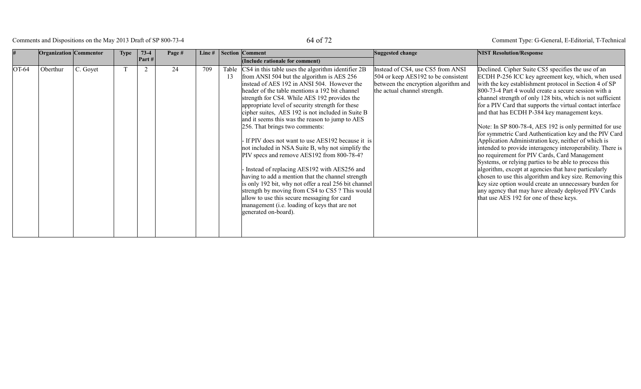# Comments and Dispositions on the May 2013 Draft of SP 800-73-4 64 of 72

|         | <b>Organization</b> Commentor |          | <b>Type</b> | $73-4$   | Page # | Line $#$ |    | Section Comment                                                                                                                                                                                                                                                                                                                                                                                                                                                                                                                                                                                                                                                                                                                                                                                                                                                                                                                                          | Suggested change                                                                                                                                 | <b>NIST Resolution/Response</b>                                                                                                                                                                                                                                                                                                                                                                                                                                                                                                                                                                                                                                                                                                                                                                                                                                                                                                                                                                                                             |
|---------|-------------------------------|----------|-------------|----------|--------|----------|----|----------------------------------------------------------------------------------------------------------------------------------------------------------------------------------------------------------------------------------------------------------------------------------------------------------------------------------------------------------------------------------------------------------------------------------------------------------------------------------------------------------------------------------------------------------------------------------------------------------------------------------------------------------------------------------------------------------------------------------------------------------------------------------------------------------------------------------------------------------------------------------------------------------------------------------------------------------|--------------------------------------------------------------------------------------------------------------------------------------------------|---------------------------------------------------------------------------------------------------------------------------------------------------------------------------------------------------------------------------------------------------------------------------------------------------------------------------------------------------------------------------------------------------------------------------------------------------------------------------------------------------------------------------------------------------------------------------------------------------------------------------------------------------------------------------------------------------------------------------------------------------------------------------------------------------------------------------------------------------------------------------------------------------------------------------------------------------------------------------------------------------------------------------------------------|
|         |                               |          |             | Part $#$ |        |          |    | (Include rationale for comment)                                                                                                                                                                                                                                                                                                                                                                                                                                                                                                                                                                                                                                                                                                                                                                                                                                                                                                                          |                                                                                                                                                  |                                                                                                                                                                                                                                                                                                                                                                                                                                                                                                                                                                                                                                                                                                                                                                                                                                                                                                                                                                                                                                             |
| $OT-64$ | Oberthur                      | C. Goyet |             | 2        | 24     | 709      | 13 | Table $ CS4 $ in this table uses the algorithm identifier 2B<br>from ANSI 504 but the algorithm is AES 256<br>instead of AES 192 in ANSI 504. However the<br>header of the table mentions a 192 bit channel<br>strength for CS4. While AES 192 provides the<br>appropriate level of security strength for these<br>cipher suites, AES 192 is not included in Suite B<br>and it seems this was the reason to jump to AES<br>256. That brings two comments:<br>If PIV does not want to use AES192 because it is<br>not included in NSA Suite B, why not simplify the<br>PIV specs and remove AES192 from 800-78-4?<br>Instead of replacing AES192 with AES256 and<br>having to add a mention that the channel strength<br>is only 192 bit, why not offer a real 256 bit channel<br>strength by moving from CS4 to CS5 ? This would<br>allow to use this secure messaging for card<br>management (i.e. loading of keys that are not<br>generated on-board). | Instead of CS4, use CS5 from ANSI<br>504 or keep AES192 to be consistent<br>between the encryption algorithm and<br>the actual channel strength. | Declined. Cipher Suite CS5 specifies the use of an<br>ECDH P-256 ICC key agreement key, which, when used<br>with the key establishment protocol in Section 4 of SP<br>800-73-4 Part 4 would create a secure session with a<br>channel strength of only 128 bits, which is not sufficient<br>for a PIV Card that supports the virtual contact interface<br>and that has ECDH P-384 key management keys.<br>Note: In SP 800-78-4, AES 192 is only permitted for use<br>for symmetric Card Authentication key and the PIV Card<br>Application Administration key, neither of which is<br>intended to provide interagency interoperability. There is<br>no requirement for PIV Cards, Card Management<br>Systems, or relying parties to be able to process this<br>algorithm, except at agencies that have particularly<br>chosen to use this algorithm and key size. Removing this<br>key size option would create an unnecessary burden for<br>any agency that may have already deployed PIV Cards<br>that use AES 192 for one of these keys. |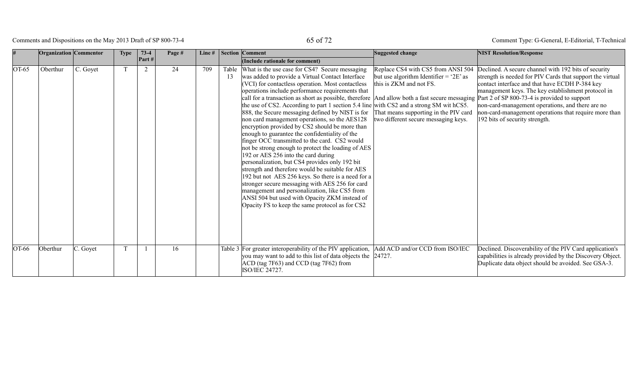# Comments and Dispositions on the May 2013 Draft of SP 800-73-4 65 of 72

|         | <b>Organization Commentor</b> |          | <b>Type</b> | $73-4$ | Page # | Line $#$ |    | <b>Section Comment</b>                                                                                                                                                                                                                                                                                                                                                                                                                                                                                                                                                                                                                                                                                                                                                                                                                                                                                                                                                                                                                                                                                                                                                                | Suggested change                                                                                                                                                                         | <b>NIST Resolution/Response</b>                                                                                                                                                                                                                                                                                                                                          |
|---------|-------------------------------|----------|-------------|--------|--------|----------|----|---------------------------------------------------------------------------------------------------------------------------------------------------------------------------------------------------------------------------------------------------------------------------------------------------------------------------------------------------------------------------------------------------------------------------------------------------------------------------------------------------------------------------------------------------------------------------------------------------------------------------------------------------------------------------------------------------------------------------------------------------------------------------------------------------------------------------------------------------------------------------------------------------------------------------------------------------------------------------------------------------------------------------------------------------------------------------------------------------------------------------------------------------------------------------------------|------------------------------------------------------------------------------------------------------------------------------------------------------------------------------------------|--------------------------------------------------------------------------------------------------------------------------------------------------------------------------------------------------------------------------------------------------------------------------------------------------------------------------------------------------------------------------|
|         |                               |          |             | Part#  |        |          |    | (Include rationale for comment)                                                                                                                                                                                                                                                                                                                                                                                                                                                                                                                                                                                                                                                                                                                                                                                                                                                                                                                                                                                                                                                                                                                                                       |                                                                                                                                                                                          |                                                                                                                                                                                                                                                                                                                                                                          |
| $OT-65$ | Oberthur                      | C. Goyet |             | 2      | 24     | 709      | 13 | Table What is the use case for CS4? Secure messaging<br>was added to provide a Virtual Contact Interface<br>(VCI) for contactless operation. Most contactless<br>operations include performance requirements that<br>call for a transaction as short as possible, therefore And allow both a fast secure messaging Part 2 of SP 800-73-4 is provided to support<br>the use of CS2. According to part 1 section 5.4 line with CS2 and a strong SM with CS5.<br>888, the Secure messaging defined by NIST is for<br>non card management operations, so the AES128<br>encryption provided by CS2 should be more than<br>enough to guarantee the confidentiality of the<br>finger OCC transmitted to the card. CS2 would<br>not be strong enough to protect the loading of AES<br>192 or AES 256 into the card during<br>personalization, but CS4 provides only 192 bit<br>strength and therefore would be suitable for AES<br>192 but not AES 256 keys. So there is a need for a<br>stronger secure messaging with AES 256 for card<br>management and personalization, like CS5 from<br>ANSI 504 but used with Opacity ZKM instead of<br>Opacity FS to keep the same protocol as for CS2 | Replace CS4 with CS5 from ANSI 504<br>but use algorithm Identifier = $2E$ as<br>this is ZKM and not FS.<br>That means supporting in the PIV card<br>two different secure messaging keys. | Declined. A secure channel with 192 bits of security<br>strength is needed for PIV Cards that support the virtual<br>contact interface and that have ECDH P-384 key<br>management keys. The key establishment protocol in<br>non-card-management operations, and there are no<br>non-card-management operations that require more than<br>192 bits of security strength. |
| OT-66   | Oberthur                      | C. Goyet |             |        | 16     |          |    | Table 3 For greater interoperability of the PIV application,<br>you may want to add to this list of data objects the 24727.<br>ACD (tag 7F63) and CCD (tag 7F62) from<br>ISO/IEC 24727.                                                                                                                                                                                                                                                                                                                                                                                                                                                                                                                                                                                                                                                                                                                                                                                                                                                                                                                                                                                               | Add ACD and/or CCD from ISO/IEC                                                                                                                                                          | Declined. Discoverability of the PIV Card application's<br>capabilities is already provided by the Discovery Object.<br>Duplicate data object should be avoided. See GSA-3.                                                                                                                                                                                              |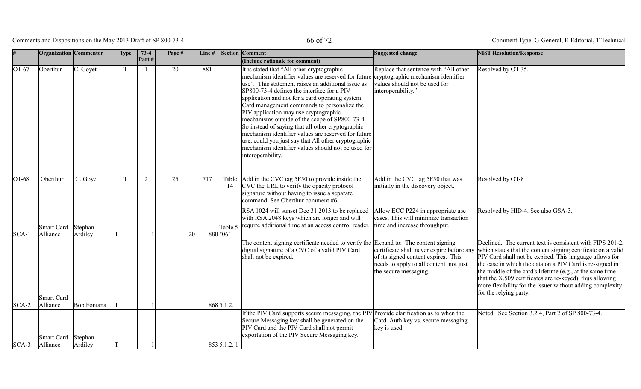Comments and Dispositions on the May 2013 Draft of SP 800-73-4 66 of 72

|                    | <b>Organization</b> Commentor      |                                   | <b>Type</b> | $73-4$ | Page # | Line# |                           | <b>Section Comment</b>                                                                                                                                                                                                                                                                                                                                                                                                                                                                                                                                                                                                                                                                 | Suggested change                                                                                                                                   | <b>NIST Resolution/Response</b>                                                                                                                                                                                                                                                                                                                                                                                                                                  |
|--------------------|------------------------------------|-----------------------------------|-------------|--------|--------|-------|---------------------------|----------------------------------------------------------------------------------------------------------------------------------------------------------------------------------------------------------------------------------------------------------------------------------------------------------------------------------------------------------------------------------------------------------------------------------------------------------------------------------------------------------------------------------------------------------------------------------------------------------------------------------------------------------------------------------------|----------------------------------------------------------------------------------------------------------------------------------------------------|------------------------------------------------------------------------------------------------------------------------------------------------------------------------------------------------------------------------------------------------------------------------------------------------------------------------------------------------------------------------------------------------------------------------------------------------------------------|
|                    |                                    |                                   |             | Part#  |        |       |                           | (Include rationale for comment)                                                                                                                                                                                                                                                                                                                                                                                                                                                                                                                                                                                                                                                        |                                                                                                                                                    |                                                                                                                                                                                                                                                                                                                                                                                                                                                                  |
| $OT-67$            | Oberthur                           | C. Goyet                          | T           | -1     | 20     | 881   |                           | It is stated that "All other cryptographic"<br>mechanism identifier values are reserved for future cryptographic mechanism identifier<br>use". This statement raises an additional issue as<br>SP800-73-4 defines the interface for a PIV<br>application and not for a card operating system.<br>Card management commands to personalize the<br>PIV application may use cryptographic<br>mechanisms outside of the scope of SP800-73-4.<br>So instead of saying that all other cryptographic<br>mechanism identifier values are reserved for future<br>use, could you just say that All other cryptographic<br>mechanism identifier values should not be used for<br>interoperability. | Replace that sentence with "All other<br>values should not be used for<br>interoperability."                                                       | Resolved by OT-35.                                                                                                                                                                                                                                                                                                                                                                                                                                               |
| $OT-68$            | Oberthur                           | C. Goyet                          | T           | 2      | 25     | 717   | 14                        | Table Add in the CVC tag 5F50 to provide inside the<br>CVC the URL to verify the opacity protocol<br>signature without having to issue a separate<br>command. See Oberthur comment #6                                                                                                                                                                                                                                                                                                                                                                                                                                                                                                  | Add in the CVC tag 5F50 that was<br>initially in the discovery object.                                                                             | Resolved by OT-8                                                                                                                                                                                                                                                                                                                                                                                                                                                 |
| $SCA-1$            | Smart Card<br>Alliance             | Stephan<br>Ardiley                |             |        |        | 20    | Table 5<br>$880$  "06"    | RSA 1024 will sunset Dec 31 2013 to be replaced<br>with RSA 2048 keys which are longer and will<br>require additional time at an access control reader.                                                                                                                                                                                                                                                                                                                                                                                                                                                                                                                                | Allow ECC P224 in appropriate use<br>cases. This will minimize transaction<br>time and increase throughput.                                        | Resolved by HID-4. See also GSA-3.                                                                                                                                                                                                                                                                                                                                                                                                                               |
|                    | Smart Card                         |                                   |             |        |        |       |                           | The content signing certificate needed to verify the Expand to: The content signing<br>digital signature of a CVC of a valid PIV Card<br>shall not be expired.                                                                                                                                                                                                                                                                                                                                                                                                                                                                                                                         | certificate shall never expire before any<br>of its signed content expires. This<br>needs to apply to all content not just<br>the secure messaging | Declined. The current text is consistent with FIPS 201-2.<br>which states that the content signing certificate on a valid<br>PIV Card shall not be expired. This language allows for<br>the case in which the data on a PIV Card is re-signed in<br>the middle of the card's lifetime (e.g., at the same time<br>that the X.509 certificates are re-keyed), thus allowing<br>more flexibility for the issuer without adding complexity<br>for the relying party. |
|                    |                                    |                                   |             |        |        |       |                           |                                                                                                                                                                                                                                                                                                                                                                                                                                                                                                                                                                                                                                                                                        |                                                                                                                                                    |                                                                                                                                                                                                                                                                                                                                                                                                                                                                  |
|                    |                                    |                                   |             |        |        |       |                           | Secure Messaging key shall be generated on the<br>PIV Card and the PIV Card shall not permit                                                                                                                                                                                                                                                                                                                                                                                                                                                                                                                                                                                           | Card Auth key vs. secure messaging<br>key is used.                                                                                                 |                                                                                                                                                                                                                                                                                                                                                                                                                                                                  |
|                    |                                    |                                   |             |        |        |       |                           |                                                                                                                                                                                                                                                                                                                                                                                                                                                                                                                                                                                                                                                                                        |                                                                                                                                                    |                                                                                                                                                                                                                                                                                                                                                                                                                                                                  |
| $SCA-2$<br>$SCA-3$ | Alliance<br>Smart Card<br>Alliance | Bob Fontana<br>Stephan<br>Ardiley |             |        |        |       | 868 5.1.2.<br>853 5.1.2.1 | If the PIV Card supports secure messaging, the PIV Provide clarification as to when the<br>exportation of the PIV Secure Messaging key.                                                                                                                                                                                                                                                                                                                                                                                                                                                                                                                                                |                                                                                                                                                    | Noted. See Section 3.2.4, Part 2 of SP 800-73-4.                                                                                                                                                                                                                                                                                                                                                                                                                 |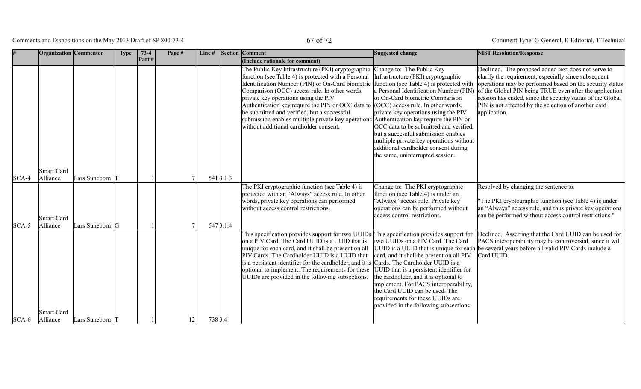Comments and Dispositions on the May 2013 Draft of SP 800-73-4 67 of 72

|         | <b>Organization</b> Commentor |                   | <b>Type</b> | $73-4$ | Page # | Line $#$ |           | <b>Section Comment</b>                                                                                                                                                                                                                                                                                                                                                                                                                                                                                                                     | Suggested change                                                                                                                                                                                                                                                                                                                                                                                                                         | <b>NIST Resolution/Response</b>                                                                                                                                                                                                                                                                                                                                          |
|---------|-------------------------------|-------------------|-------------|--------|--------|----------|-----------|--------------------------------------------------------------------------------------------------------------------------------------------------------------------------------------------------------------------------------------------------------------------------------------------------------------------------------------------------------------------------------------------------------------------------------------------------------------------------------------------------------------------------------------------|------------------------------------------------------------------------------------------------------------------------------------------------------------------------------------------------------------------------------------------------------------------------------------------------------------------------------------------------------------------------------------------------------------------------------------------|--------------------------------------------------------------------------------------------------------------------------------------------------------------------------------------------------------------------------------------------------------------------------------------------------------------------------------------------------------------------------|
|         |                               |                   |             | Part#  |        |          |           | (Include rationale for comment)                                                                                                                                                                                                                                                                                                                                                                                                                                                                                                            |                                                                                                                                                                                                                                                                                                                                                                                                                                          |                                                                                                                                                                                                                                                                                                                                                                          |
|         |                               |                   |             |        |        |          |           | The Public Key Infrastructure (PKI) cryptographic<br>function (see Table 4) is protected with a Personal<br>Identification Number (PIN) or On-Card biometric<br>Comparison (OCC) access rule. In other words,<br>private key operations using the PIV<br>Authentication key require the PIN or OCC data to $\vert$ (OCC) access rule. In other words,<br>be submitted and verified, but a successful<br>submission enables multiple private key operations Authentication key require the PIN or<br>without additional cardholder consent. | Change to: The Public Key<br>Infrastructure (PKI) cryptographic<br>function (see Table 4) is protected with<br>a Personal Identification Number (PIN)<br>or On-Card biometric Comparison<br>private key operations using the PIV<br>OCC data to be submitted and verified,<br>but a successful submission enables<br>multiple private key operations without<br>additional cardholder consent during<br>the same, uninterrupted session. | Declined. The proposed added text does not serve to<br>clarify the requirement, especially since subsequent<br>operations may be performed based on the security status<br>of the Global PIN being TRUE even after the application<br>session has ended, since the security status of the Global<br>PIN is not affected by the selection of another card<br>application. |
| $SCA-4$ | Smart Card<br>Alliance        | Lars Suneborn T   |             |        |        |          | 541 3.1.3 |                                                                                                                                                                                                                                                                                                                                                                                                                                                                                                                                            |                                                                                                                                                                                                                                                                                                                                                                                                                                          |                                                                                                                                                                                                                                                                                                                                                                          |
| $SCA-5$ | Smart Card<br>Alliance        | Lars Suneborn G   |             |        |        |          | 547 3.1.4 | The PKI cryptographic function (see Table 4) is<br>protected with an "Always" access rule. In other<br>words, private key operations can performed<br>without access control restrictions.                                                                                                                                                                                                                                                                                                                                                 | Change to: The PKI cryptographic<br>function (see Table 4) is under an<br>'Always'' access rule. Private key<br>operations can be performed without<br>access control restrictions.                                                                                                                                                                                                                                                      | Resolved by changing the sentence to:<br>"The PKI cryptographic function (see Table 4) is under<br>an "Always" access rule, and thus private key operations<br>can be performed without access control restrictions."                                                                                                                                                    |
|         |                               |                   |             |        |        |          |           | This specification provides support for two UUIDs This specification provides support for<br>on a PIV Card. The Card UUID is a UUID that is<br>unique for each card, and it shall be present on all<br>PIV Cards. The Cardholder UUID is a UUID that<br>is a persistent identifier for the cardholder, and it is Cards. The Cardholder UUID is a<br>optional to implement. The requirements for these<br>UUIDs are provided in the following subsections.                                                                                  | two UUIDs on a PIV Card. The Card<br>UUID is a UUID that is unique for each<br>card, and it shall be present on all PIV<br>UUID that is a persistent identifier for<br>the cardholder, and it is optional to<br>implement. For PACS interoperability,<br>the Card UUID can be used. The<br>requirements for these UUIDs are<br>provided in the following subsections.                                                                    | Declined. Asserting that the Card UUID can be used for<br>PACS interoperability may be controversial, since it will<br>be several years before all valid PIV Cards include a<br>Card UUID.                                                                                                                                                                               |
| $SCA-6$ | Smart Card<br>Alliance        | Lars Suneborn   T |             |        | 12     | 738 3.4  |           |                                                                                                                                                                                                                                                                                                                                                                                                                                                                                                                                            |                                                                                                                                                                                                                                                                                                                                                                                                                                          |                                                                                                                                                                                                                                                                                                                                                                          |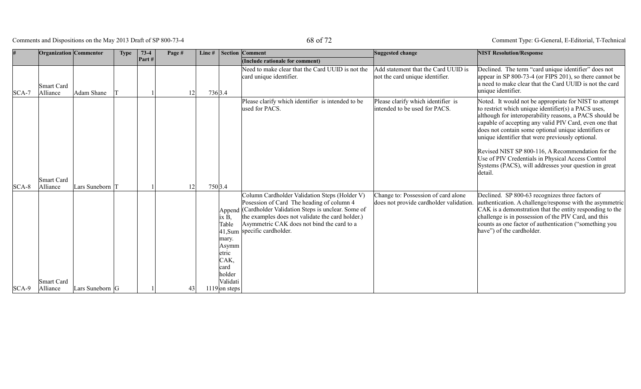# Comments and Dispositions on the May 2013 Draft of SP 800-73-4 68 of 72

|         | Organization Commentor |                 | <b>Type</b> | $73-4$ | Page # | Line# |                                                                                 | <b>Section Comment</b>                                                                                                                                                                                                                                                                  | Suggested change                                                              | <b>NIST Resolution/Response</b>                                                                                                                                                                                                                                                                                                                                                                                                                                                                                              |
|---------|------------------------|-----------------|-------------|--------|--------|-------|---------------------------------------------------------------------------------|-----------------------------------------------------------------------------------------------------------------------------------------------------------------------------------------------------------------------------------------------------------------------------------------|-------------------------------------------------------------------------------|------------------------------------------------------------------------------------------------------------------------------------------------------------------------------------------------------------------------------------------------------------------------------------------------------------------------------------------------------------------------------------------------------------------------------------------------------------------------------------------------------------------------------|
|         |                        |                 |             | Part#  |        |       |                                                                                 | (Include rationale for comment)                                                                                                                                                                                                                                                         |                                                                               |                                                                                                                                                                                                                                                                                                                                                                                                                                                                                                                              |
| $SCA-7$ | Smart Card<br>Alliance | Adam Shane      |             |        |        | 12    | 736 3.4                                                                         | Need to make clear that the Card UUID is not the<br>card unique identifier.                                                                                                                                                                                                             | Add statement that the Card UUID is<br>not the card unique identifier.        | Declined. The term "card unique identifier" does not<br>appear in SP 800-73-4 (or FIPS 201), so there cannot be<br>a need to make clear that the Card UUID is not the card<br>unique identifier.                                                                                                                                                                                                                                                                                                                             |
|         |                        |                 |             |        |        |       |                                                                                 | Please clarify which identifier is intended to be<br>used for PACS.                                                                                                                                                                                                                     | Please clarify which identifier is<br>intended to be used for PACS.           | Noted. It would not be appropriate for NIST to attempt<br>to restrict which unique identifier(s) a PACS uses,<br>although for interoperability reasons, a PACS should be<br>capable of accepting any valid PIV Card, even one that<br>does not contain some optional unique identifiers or<br>unique identifier that were previously optional.<br>Revised NIST SP 800-116, A Recommendation for the<br>Use of PIV Credentials in Physical Access Control<br>Systems (PACS), will addresses your question in great<br>detail. |
|         | Smart Card             |                 |             |        |        |       |                                                                                 |                                                                                                                                                                                                                                                                                         |                                                                               |                                                                                                                                                                                                                                                                                                                                                                                                                                                                                                                              |
| $SCA-8$ | Alliance               | Lars Suneborn   |             |        |        | 12    | 750 3.4                                                                         |                                                                                                                                                                                                                                                                                         |                                                                               |                                                                                                                                                                                                                                                                                                                                                                                                                                                                                                                              |
|         | <b>Smart Card</b>      |                 |             |        |        |       | ix B,<br>Table<br>mary.<br>Asymm<br>etric<br>CAK,<br>card<br>holder<br>Validati | Column Cardholder Validation Steps (Holder V)<br>Posession of Card The heading of column 4<br>Append (Cardholder Validation Steps is unclear. Some of<br>the examples does not validate the card holder.)<br>Asymmetric CAK does not bind the card to a<br>41, Sum specific cardholder. | Change to: Possession of card alone<br>does not provide cardholder validation | Declined. SP 800-63 recognizes three factors of<br>authentication. A challenge/response with the asymmetric<br>CAK is a demonstration that the entity responding to the<br>challenge is in possession of the PIV Card, and this<br>counts as one factor of authentication ("something you<br>have") of the cardholder.                                                                                                                                                                                                       |
| $SCA-9$ | Alliance               | Lars Suneborn G |             |        |        | 43    | $1119$ on steps                                                                 |                                                                                                                                                                                                                                                                                         |                                                                               |                                                                                                                                                                                                                                                                                                                                                                                                                                                                                                                              |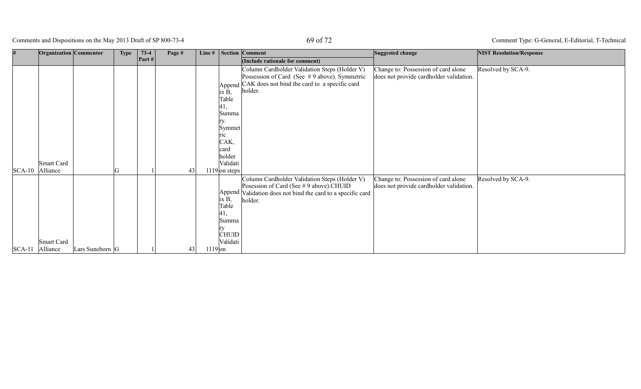Comments and Dispositions on the May 2013 Draft of SP 800-73-4 69 of 72

|                 | Organization Commentor                    | <b>Type</b>     | $73-4$                  | Page # |           |                                                                                                                   | Line #   Section   Comment                                                                                                                                         | Suggested change                                                               | <b>NIST Resolution/Response</b> |
|-----------------|-------------------------------------------|-----------------|-------------------------|--------|-----------|-------------------------------------------------------------------------------------------------------------------|--------------------------------------------------------------------------------------------------------------------------------------------------------------------|--------------------------------------------------------------------------------|---------------------------------|
|                 |                                           |                 | $\left  \right.$ Part # |        |           |                                                                                                                   | (Include rationale for comment)                                                                                                                                    |                                                                                |                                 |
| SCA-10 Alliance | Smart Card                                | $\sqrt{ }$<br>U |                         | 43     |           | ix B,<br>Table<br> 41,<br>Summa<br>ry.<br>Symmet<br>ric<br>CAK,<br> card<br>holder<br>Validati<br>$1119$ on steps | Column Cardholder Validation Steps (Holder V)<br>Possession of Card (See #9 above). Symmetric<br>Append CAK does not bind the card to a specific card<br>holder.   | Change to: Possession of card alone<br>does not provide cardholder validation. | Resolved by SCA-9.              |
| $SCA-11$        | Smart Card<br>Alliance<br>Lars Suneborn G |                 |                         | 43     | $1119$ on | ix B,<br>Table<br>41,<br>Summa<br>rv<br><b>CHUID</b><br>Validati                                                  | Column Cardholder Validation Steps (Holder V)<br>Posession of Card (See # 9 above).CHUID<br>Append Validation does not bind the card to a specific card<br>holder. | Change to: Possession of card alone<br>does not provide cardholder validation. | Resolved by SCA-9.              |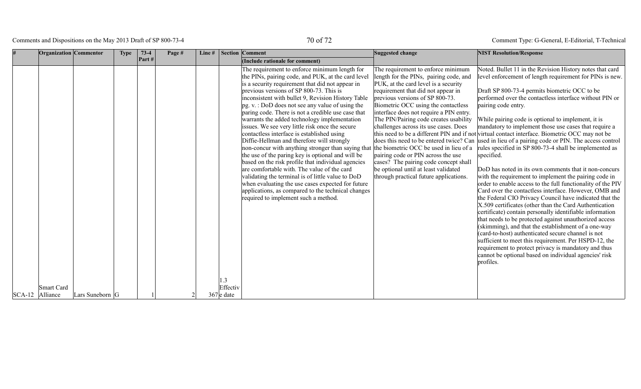Comments and Dispositions on the May 2013 Draft of SP 800-73-4 70 of 72

|                 | Organization Commentor |                 | <b>Type</b> | $73-4$ | Page # | Line # |                 | <b>Section Comment</b>                                                                                                                                                                                                                                                                                                                                                                                                                                                                                                                                                                                                                                                                                                                                                                                                                                                                                                                                                                   | Suggested change                                                                                                                                                                                                                                                                                                                                                                                                                                                                                                                                                              | <b>NIST Resolution/Response</b>                                                                                                                                                                                                                                                                                                                                                                                                                                                                                                                                                                                                                                                                                                                                                                                                                                                                                                                                                                                                                                                                                                                                                                                                                                                                                                                                                                                                                |
|-----------------|------------------------|-----------------|-------------|--------|--------|--------|-----------------|------------------------------------------------------------------------------------------------------------------------------------------------------------------------------------------------------------------------------------------------------------------------------------------------------------------------------------------------------------------------------------------------------------------------------------------------------------------------------------------------------------------------------------------------------------------------------------------------------------------------------------------------------------------------------------------------------------------------------------------------------------------------------------------------------------------------------------------------------------------------------------------------------------------------------------------------------------------------------------------|-------------------------------------------------------------------------------------------------------------------------------------------------------------------------------------------------------------------------------------------------------------------------------------------------------------------------------------------------------------------------------------------------------------------------------------------------------------------------------------------------------------------------------------------------------------------------------|------------------------------------------------------------------------------------------------------------------------------------------------------------------------------------------------------------------------------------------------------------------------------------------------------------------------------------------------------------------------------------------------------------------------------------------------------------------------------------------------------------------------------------------------------------------------------------------------------------------------------------------------------------------------------------------------------------------------------------------------------------------------------------------------------------------------------------------------------------------------------------------------------------------------------------------------------------------------------------------------------------------------------------------------------------------------------------------------------------------------------------------------------------------------------------------------------------------------------------------------------------------------------------------------------------------------------------------------------------------------------------------------------------------------------------------------|
|                 |                        |                 |             | Part#  |        |        |                 | (Include rationale for comment)                                                                                                                                                                                                                                                                                                                                                                                                                                                                                                                                                                                                                                                                                                                                                                                                                                                                                                                                                          |                                                                                                                                                                                                                                                                                                                                                                                                                                                                                                                                                                               |                                                                                                                                                                                                                                                                                                                                                                                                                                                                                                                                                                                                                                                                                                                                                                                                                                                                                                                                                                                                                                                                                                                                                                                                                                                                                                                                                                                                                                                |
|                 | <b>Smart Card</b>      |                 |             |        |        |        | 1.3<br>Effectiv | The requirement to enforce minimum length for<br>the PINs, pairing code, and PUK, at the card level<br>is a security requirement that did not appear in<br>previous versions of SP 800-73. This is<br>inconsistent with bullet 9, Revision History Table<br>pg. v.: DoD does not see any value of using the<br>paring code. There is not a credible use case that<br>warrants the added technology implementation<br>issues. We see very little risk once the secure<br>contactless interface is established using<br>Diffie-Hellman and therefore will strongly<br>non-concur with anything stronger than saying that<br>the use of the paring key is optional and will be<br>based on the risk profile that individual agencies<br>are comfortable with. The value of the card<br>validating the terminal is of little value to DoD<br>when evaluating the use cases expected for future<br>applications, as compared to the technical changes<br>required to implement such a method. | The requirement to enforce minimum<br>length for the PINs, pairing code, and<br>PUK, at the card level is a security<br>requirement that did not appear in<br>previous versions of SP 800-73.<br>Biometric OCC using the contactless<br>interface does not require a PIN entry.<br>The PIN/Pairing code creates usability<br>challenges across its use cases. Does<br>the biometric OCC be used in lieu of a<br>pairing code or PIN across the use<br>cases? The pairing code concept shall<br>be optional until at least validated<br>through practical future applications. | Noted. Bullet 11 in the Revision History notes that card<br>level enforcement of length requirement for PINs is new.<br>Draft SP 800-73-4 permits biometric OCC to be<br>performed over the contactless interface without PIN or<br>pairing code entry.<br>While pairing code is optional to implement, it is<br>mandatory to implement those use cases that require a<br>this need to be a different PIN and if not virtual contact interface. Biometric OCC may not be<br>does this need to be entered twice? Can used in lieu of a pairing code or PIN. The access control<br>rules specified in SP 800-73-4 shall be implemented as<br>specified.<br>DoD has noted in its own comments that it non-concurs<br>with the requirement to implement the pairing code in<br>order to enable access to the full functionality of the PIV<br>Card over the contactless interface. However, OMB and<br>the Federal CIO Privacy Council have indicated that the<br>X.509 certificates (other than the Card Authentication<br>certificate) contain personally identifiable information<br>that needs to be protected against unauthorized access<br>(skimming), and that the establishment of a one-way<br>(card-to-host) authenticated secure channel is not<br>sufficient to meet this requirement. Per HSPD-12, the<br>requirement to protect privacy is mandatory and thus<br>cannot be optional based on individual agencies' risk<br>profiles. |
| SCA-12 Alliance |                        | Lars Suneborn G |             |        |        |        | $367$ e date    |                                                                                                                                                                                                                                                                                                                                                                                                                                                                                                                                                                                                                                                                                                                                                                                                                                                                                                                                                                                          |                                                                                                                                                                                                                                                                                                                                                                                                                                                                                                                                                                               |                                                                                                                                                                                                                                                                                                                                                                                                                                                                                                                                                                                                                                                                                                                                                                                                                                                                                                                                                                                                                                                                                                                                                                                                                                                                                                                                                                                                                                                |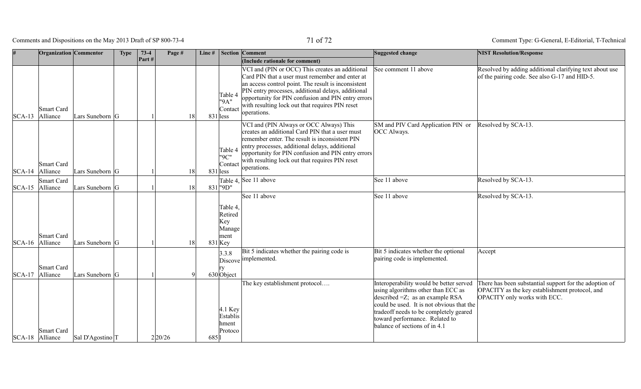Comments and Dispositions on the May 2013 Draft of SP 800-73-4 71 of 72

|                     | <b>Organization</b> Commentor |                             | <b>Type</b> | $73-4$ | Page #  | Line# |                                                           | <b>Section Comment</b>                                                                                                                                                                                                                                                                                                                  | Suggested change                                                                                                                                                                                                                                                              | <b>NIST Resolution/Response</b>                                                                                                          |
|---------------------|-------------------------------|-----------------------------|-------------|--------|---------|-------|-----------------------------------------------------------|-----------------------------------------------------------------------------------------------------------------------------------------------------------------------------------------------------------------------------------------------------------------------------------------------------------------------------------------|-------------------------------------------------------------------------------------------------------------------------------------------------------------------------------------------------------------------------------------------------------------------------------|------------------------------------------------------------------------------------------------------------------------------------------|
|                     |                               |                             |             | Part#  |         |       |                                                           | (Include rationale for comment)                                                                                                                                                                                                                                                                                                         |                                                                                                                                                                                                                                                                               |                                                                                                                                          |
| $ SCA-13 $ Alliance | <b>Smart Card</b>             | Lars Suneborn G             |             |        | 18      |       | Table 4<br>"9A"<br>Contact<br>$831$  less                 | VCI and (PIN or OCC) This creates an additional<br>Card PIN that a user must remember and enter at<br>an access control point. The result is inconsistent<br>PIN entry processes, additional delays, additional<br>opportunity for PIN confusion and PIN entry errors<br>with resulting lock out that requires PIN reset<br>operations. | See comment 11 above                                                                                                                                                                                                                                                          | Resolved by adding additional clarifying text about use<br>of the pairing code. See also G-17 and HID-5.                                 |
| SCA-14 Alliance     | <b>Smart Card</b>             | Lars Suneborn G             |             |        | 18      |       | Table 4<br>"9C"<br>Contact<br>$831$  less                 | VCI and (PIN Always or OCC Always) This<br>creates an additional Card PIN that a user must<br>remember enter. The result is inconsistent PIN<br>entry processes, additional delays, additional<br>opportunity for PIN confusion and PIN entry errors<br>with resulting lock out that requires PIN reset<br>operations.                  | SM and PIV Card Application PIN or<br><b>OCC</b> Always.                                                                                                                                                                                                                      | Resolved by SCA-13.                                                                                                                      |
|                     | <b>Smart Card</b>             |                             |             |        |         |       |                                                           | Table 4, See 11 above                                                                                                                                                                                                                                                                                                                   | See 11 above                                                                                                                                                                                                                                                                  | Resolved by SCA-13.                                                                                                                      |
| SCA-15 Alliance     |                               | Lars Suneborn G             |             |        | 18      |       | 831 "9D"                                                  |                                                                                                                                                                                                                                                                                                                                         |                                                                                                                                                                                                                                                                               |                                                                                                                                          |
| SCA-16 Alliance     | <b>Smart Card</b>             | Lars Suneborn G             |             |        | 18      |       | Table 4.<br>Retired<br>Key<br>Manage<br>ment<br>$831$ Key | See 11 above                                                                                                                                                                                                                                                                                                                            | See 11 above                                                                                                                                                                                                                                                                  | Resolved by SCA-13.                                                                                                                      |
| $ SCA-17 $          | <b>Smart Card</b><br>Alliance | Lars Suneborn G             |             |        |         |       | 3.3.8<br>lrv<br>$630$ Object                              | Bit 5 indicates whether the pairing code is<br>Discove implemented.                                                                                                                                                                                                                                                                     | Bit 5 indicates whether the optional<br>pairing code is implemented.                                                                                                                                                                                                          | Accept                                                                                                                                   |
| SCA-18 Alliance     | <b>Smart Card</b>             | Sal D'Agostino <sup>T</sup> |             |        | 2 20/26 | 685   | 4.1 Key<br>Establis<br>hment<br>Protoco                   | The key establishment protocol                                                                                                                                                                                                                                                                                                          | Interoperability would be better served<br>using algorithms other than ECC as<br>described $=Z$ ; as an example RSA<br>could be used. It is not obvious that the<br>tradeoff needs to be completely geared<br>toward performance. Related to<br>balance of sections of in 4.1 | There has been substantial support for the adoption of<br>OPACITY as the key establishment protocol, and<br>OPACITY only works with ECC. |